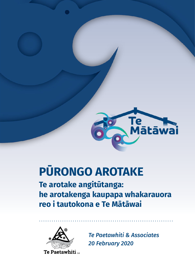

# **PŪRONGO AROTAKE**

**Te arotake angitūtanga: he arotakenga kaupapa whakarauora reo i tautokona e Te Mātāwai**



*Te Paetawhiti & Associates 20 February 2020*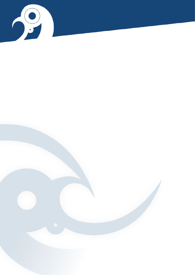

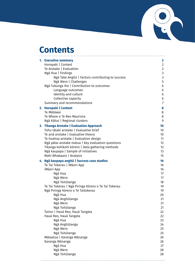

## **Contents**

|  | 1. Executive summary                                            | 2.                |
|--|-----------------------------------------------------------------|-------------------|
|  | Horopaki   Context                                              | $\overline{2}$    |
|  | Te Arotake   Evaluation                                         | $\overline{2}$    |
|  | Ngā Hua   Findings                                              | $\mathbf{3}$      |
|  | Ngā Take Angitū   Factors contributing to success               | 3                 |
|  | Ngā Wero   Challenges                                           | 5                 |
|  | Ngā Tukunga Iho   Contribution to outcomes                      | 6                 |
|  | Language outcomes                                               | 6                 |
|  | Identity and culture                                            | 6                 |
|  | Collective capacity                                             | 6                 |
|  | Summary and recommendations                                     | 7                 |
|  | 2. Horopaki   Context                                           | 8                 |
|  | Te Mātāwai                                                      | 8                 |
|  | Te Whare o Te Reo Mauriora                                      | 8                 |
|  | Ngā Kāhui   Regional clusters                                   | 9                 |
|  | 3. Tikanga Arotake   Evaluation Approach                        | 10                |
|  | Tohu tātaki arotake   Evaluative brief                          | 10 <sup>°</sup>   |
|  | Te ariā arotake   Evaluative theory                             | 10                |
|  | Te hoahoa arotake   Evaluation design                           | 11                |
|  | Ngā pātai arotake matua   Key evaluation questions              | $12 \overline{ }$ |
|  | Tikanga kohikohi kōrero   Data gathering methods                | 12                |
|  | Ngā kaupapa   Sample of initiatives<br>Mahi Whakaaro   Analysis | 13<br>15          |
|  |                                                                 |                   |
|  | 4. Ngā kaupapa angitū   Success case studies                    | 16                |
|  | Te Tai Tokerau   iMāori App                                     | 16                |
|  | iMāori App                                                      | 16                |
|  | Ngā Hua<br>Ngā Wero                                             | 17<br>17          |
|  | Ngā Toitūtanga                                                  | 18                |
|  | Te Tai Tokerau   Ngā Piringa Kōrero o Te Tai Tokerau            | 19                |
|  | Ngā Piringa Kōrero o Te Taitokerau                              | 19                |
|  | Ngā Hua                                                         | 20                |
|  | Ngā Angitūtanga                                                 | 21                |
|  | Ngā Wero                                                        | 21                |
|  | Ngā Toitūtanga                                                  | 21                |
|  | Tainui   Hauā Reo, Hauā Tangata                                 | 22                |
|  | Hauā Reo, Hauā Tangata                                          | 22                |
|  | Ngā Hua                                                         | 23                |
|  | Ngā Angitūtanga                                                 | 24                |
|  | Ngā Wero                                                        | 25                |
|  | Ngā Toitūtanga                                                  | 25                |
|  | Mātaatua   Karanga Wānanga                                      | 26                |
|  | Karanga Wānanga                                                 | 26                |
|  | Ngā Hua                                                         | 27                |
|  | Ngā Wero                                                        | 28                |
|  | Ngā Toitūtanga                                                  | 28                |
|  |                                                                 |                   |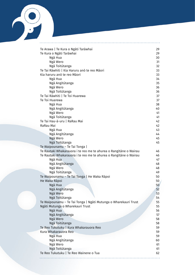| Te Arawa   Te Kura o Ngāti Tarāwhai                               | 29 |
|-------------------------------------------------------------------|----|
| Te Kura o Ngāti Tarāwhai                                          | 29 |
| Ngā Hua                                                           | 30 |
| Ngā Wero                                                          | 31 |
| Ngā Toitūtanga                                                    | 32 |
| Te Tai Rāwhiti   Kia Haruru anō te reo Māori                      | 33 |
| Kia haruru anō te reo Māori                                       | 33 |
| Ngā Hua                                                           | 34 |
| Ngā Angitūtanga                                                   | 35 |
| Ngā Wero                                                          | 36 |
| Ngā Toitūtanga                                                    | 36 |
| Te Tai Rāwhiti   Te Toi Huarewa                                   | 37 |
| Te Toi Huarewa                                                    | 37 |
| Ngā Hua                                                           | 38 |
| Ngā Angitūtanga                                                   | 40 |
| Ngā Wero                                                          | 41 |
| Ngā Toitūtanga                                                    | 41 |
| Te Tai Hau-ā-uru   RaRau Mai                                      | 42 |
| RaRau Mai                                                         | 42 |
| Ngā Hua                                                           | 43 |
| Ngā Angitūtanga                                                   | 44 |
| Ngā Wero                                                          | 45 |
| Ngā Toitūtanga                                                    | 45 |
| Te Waipounamu - Te Tai Tonga                                      |    |
| Te Rautaki Whakarauora i te reo me te ahurea o Rangitāne o Wairau | 46 |
| Te Rautaki Whakarauora i te reo me te ahurea o Rangitāne o Wairau | 46 |
| Ngā Hua                                                           | 47 |
| Ngā Angitūtanga                                                   | 48 |
| Ngā Wero                                                          | 48 |
| Ngā Toitūtanga                                                    | 49 |
| Te Waipounamu - Te Tai Tonga   He Waka Rāpoi                      | 50 |
| He Waka Rāpoi                                                     | 50 |
| Ngā Hua                                                           | 50 |
| Ngā Angitūtanga                                                   | 52 |
| Ngā Wero                                                          | 53 |
| Ngā Toitūtanga                                                    | 54 |
| Te Waipounamu - Te Tai Tonga   Ngāti Mutunga o Wharekauri Trust   | 55 |
| Ngāti Mutunga o Wharekauri Trust                                  | 55 |
| Ngā Hua                                                           | 56 |
| Ngā Angitūtanga                                                   | 57 |
| Ngā Wero                                                          | 58 |
| Ngā Toitūtanga                                                    | 58 |
| Te Reo Tukutuku   Kura Whakarauora Reo                            | 59 |
| Kura Whakarauora Reo                                              | 59 |
| Ngā Hua                                                           | 59 |
| Ngā Angitūtanga                                                   | 60 |
| Ngā Wero                                                          | 61 |
| Ngā Toitūtanga                                                    | 61 |
| Te Reo Tukutuku   Te Reo Wainene o Tua                            | 62 |

222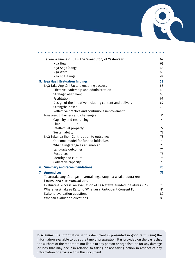

|    | Te Reo Wainene o Tua - The Sweet Story of Yesteryear                    | 62 |
|----|-------------------------------------------------------------------------|----|
|    | Ngā Hua                                                                 | 63 |
|    | Nga Angitūtanga                                                         | 64 |
|    | Ngā Wero                                                                | 66 |
|    | Ngā Toitūtanga                                                          | 67 |
|    | 5. Ngā Hua   Evaluation findings                                        | 68 |
|    | Ngā Take Angitū   Factors enabling success                              | 68 |
|    | Effective leadership and administration                                 | 68 |
|    | Strategic alignment                                                     | 68 |
|    | Facilitation                                                            | 69 |
|    | Design of the initiative including content and delivery                 | 69 |
|    | Strengths-based                                                         | 70 |
|    | Reflective practice and continuous improvement                          | 70 |
|    | Ngā Wero   Barriers and challenges                                      | 71 |
|    | Capacity and resourcing                                                 | 71 |
|    | Time<br>71                                                              |    |
|    | Intellectual property                                                   | 72 |
|    | Sustainability                                                          | 72 |
|    | Ngā Tukunga Iho   Contribution to outcomes                              | 73 |
|    | Outcome model for funded initiatives                                    | 73 |
|    | Whanaungatanga as an enabler                                            | 73 |
|    | Language outcomes                                                       | 74 |
|    | Resources                                                               | 75 |
|    | Identity and culture                                                    | 75 |
|    | Collective capacity                                                     | 75 |
|    | <b>6. Summary and recommendations</b>                                   | 76 |
| 7. | <b>Appendices</b>                                                       | 77 |
|    | Te arotake angitūtanga: he arotakenga kaupapa whakarauora reo           |    |
|    | i tautokona e Te Mātāwai 2019                                           | 78 |
|    | Evaluating success: an evaluation of Te Mātāwai funded initiatives 2019 | 78 |
|    | Whārangi Whakaae Kaitono/Whānau / Participant Consent Form              | 81 |
|    | Kaitono evaluation questions                                            | 82 |
|    | Whānau evaluation questions                                             | 83 |
|    |                                                                         |    |

**Disclaimer:** The information in this document is presented in good faith using the information available to us at the time of preparation. It is provided on the basis that the authors of the report are not liable to any person or organisation for any damage or loss that may occur in relation to taking or not taking action in respect of any information or advice within this document.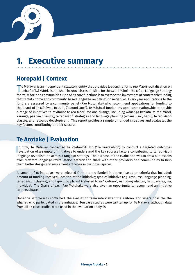<span id="page-5-0"></span>

# **1. Executive summary**

## **Horopaki | Context**

Te Mātāwai is an independent statutory entity that provides leadership for te reo Māori revitalisation on behalf of iwi Māori. Established in 2016 it is responsible for the Maihi Māori - the Māori Language Strategy for iwi, Māori and communities. One of its core functions is to oversee the investment of contestable funding that targets home and community-based language revitalisation initiatives. Every year applications to the fund are assessed by a community panel (Pae Motuhake) who recommend applications for funding to the Board of Te Mātāwai. In 2018, ("Round One"), Te Mātāwai funded 149 applicants nationwide to provide a range of initiatives to revitalise te reo Māori me ōna tikanga, including wānanga (waiata, te reo Māori, karanga, paepae, tikanga); te reo Māori strategies and language planning (whānau, iwi, hapū); te reo Māori classes; and resource development. This report profiles a sample of funded initiatives and evaluates the key factors contributing to their success.

## **Te Arotake | Evaluation**

In 2019, Te Mātāwai contracted Te Paetawhiti Ltd ("Te Paetawhiti") to conduct a targeted outcomes<br>evaluation of a sample of initiatives to understand the key success factors contributing to te reo Māori n 2019, Te Mātāwai contracted Te Paetawhiti Ltd ("Te Paetawhiti") to conduct a targeted outcomes language revitalisation across a range of settings. The purpose of the evaluation was to draw out lessons from different language revitalisation activities to share with other providers and communities to help them better design and implement activities in their own spaces.

A sample of 16 initiatives were selected from the 149 funded initiatives based on criteria that included: amount of funding received; location of the initiative; type of initiative (e.g. resource, language planning, te reo Māori classes); and type of applicant (referred to as "Kaitono") including whānau, hapū, marae, iwi, individual. The Chairs of each Pae Motuhake were also given an opportunity to recommend an initiative to be evaluated.

Once the sample was confirmed, the evaluation team interviewed the Kaitono, and where possible, the whānau who participated in the initiative. Ten case studies were written up for Te Mātāwai although data from all 16 case studies were used in the evaluation analysis.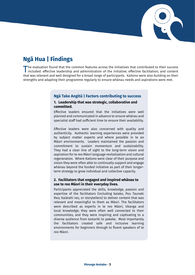

## <span id="page-6-0"></span>**Ngā Hua | Findings**

The evaluation found that the common features across the initiatives that contributed to their success included: effective leadership and administration of the initiative; effective facilitation; and content that was relevant and well designed for a broad range of participants. Kaitono were also building on their strengths and adapting their programme regularly to ensure whānau needs and aspirations were met.

## **Ngā Take Angitū | Factors contributing to success**

#### **1. Leadership that was strategic, collaborative and committed.**

Effective leaders ensured that the initiatives were well planned and communicated in advance to ensure whānau and specialist staff had sufficient time to ensure their availability.

Effective leaders were also concerned with quality and authenticity. Authentic learning experiences were provided by subject matter experts and where possible in te ao Māori environments. Leaders maintained the passion and commitment to sustain momentum and sustainability. They had a clear line of sight to the long-term vision and aspiration for te reo Māori language revitalisation and cultural regeneration. Where Kaitono were clear of their purpose and vision they were often able to continually support and engage whānau beyond the funded initiative as part of their longerterm strategy to grow individual and collective capacity.

#### **2. Facilitators that engaged and inspired whānau to use te reo Māori in their everyday lives.**

Participants appreciated the skills, knowledge, passion and expertise of the facilitators (including kaiako, Pou Taunaki Reo; Kaiārahi reo, or storytellers) to deliver content that was relevant and meaningful to them as Māori. The facilitators were described as experts in te reo Māori, tikanga and local knowledge; they were often well connected to their communities; and they were inspiring and captivating to a diverse audience from tamariki to pakeke. Most importantly the facilitators created safe and inclusive learning environments for beginners through to fluent speakers of te reo Māori.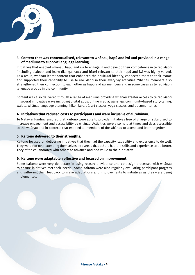## **3. Content that was contextualised, relevant to whānau, hapū and iwi and provided in a range of mediums to support language learning.**

Initiatives that enabled whānau, hapū and iwi to engage in and develop their competence in te reo Māori (including dialect), and learn tikanga, kawa and hītori relevant to their hapū and iwi was highly valued. As a result, whānau learnt content that enhanced their cultural identity, connected them to their marae and supported their capability to use te reo Māori in their everyday activities. Whānau members also strengthened their connection to each other as hapū and iwi members and in some cases as te reo Māori language groups in the community.

Content was also delivered through a range of mediums providing whānau greater access to te reo Māori in several innovative ways including digital apps, online media, wānanga, community-based story-telling, waiata, whānau language planning, hīkoi, kura pō, art classes, yoga classes, and documentaries.

## **4. Initiatives that reduced costs to participants and were inclusive of all whānau.**

Te Mātāwai funding ensured that Kaitono were able to provide initiatives free of charge or subsidised to increase engagement and accessibility by whānau. Activities were also held at times and days accessible to the whānau and in contexts that enabled all members of the whānau to attend and learn together.

#### **5. Kaitono delivered to their strengths.**

Kaitono focused on delivering initiatives that they had the capacity, capability and experience to do well. They were not overextending themselves into areas that others had the skills and experience to do better. They often collaborated with others to advance and add value to their initiative.

#### **6. Kaitono were adaptable, reflective and focused on improvement.**

Some Kaitono were very deliberate in using research, evidence and co-design processes with whānau to ensure initiatives met their needs. Some Kaitono were also regularly evaluating participant progress and gathering their feedback to make adaptations and improvements to initiatives as they were being implemented.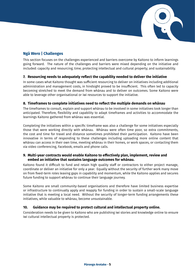

## <span id="page-8-0"></span>**Ngā Wero | Challenges**

This section focuses on the challenges experienced and barriers overcome by Kaitono to inform learnings going forward. The nature of the challenges and barriers were mixed depending on the initiative and included: capacity and resourcing; time; protecting intellectual and cultural property; and sustainability.

## **7. Resourcing needs to adequately reflect the capability needed to deliver the initiative**

In some cases what Kaitono thought was sufficient resourcing to deliver on initiatives including additional administration and management costs, in hindsight proved to be insufficient. This often led to capacity becoming stretched to meet the demand from whānau and to deliver on outcomes. Some Kaitono were able to leverage other organisational or iwi resources to support the initiative.

#### **8. Timeframes to complete initiatives need to reflect the multiple demands on whānau**

The timeframes to consult, explain and support whānau to be involved in some initiatives took longer than anticipated. Therefore, flexibility and capability to adapt timeframes and activities to accommodate the learnings Kaitono gathered from whānau was essential.

Completing the initiatives within a specific timeframe was also a challenge for some initiatives especially those that were working directly with whānau. Whānau were often time poor, so extra commitments, the cost and time for travel and distance sometimes prohibited their participation. Kaitono have been innovative in terms of responding to these challenges including uploading more online content that whānau can access in their own time, meeting whānau in their homes, or work spaces, or contacting them via video conferencing, Facebook, emails and phone calls.

#### **9. Multi-year contracts would enable Kaitono to effectively plan, implement, review and embed an initiative that sustains language outcomes for whānau.**

Kaitono found it difficult to fund and retain high quality staff or contractors to either project manage, coordinate or deliver an initiative for only a year. Equally without the security of further work many move on from fixed-term roles leaving gaps in capability and momentum, while the Kaitono applies and secures future funding to support whānau to continue their language journey.

Some Kaitono are small community-based organisations and therefore have limited business expertise or infrastructure to continually apply and reapply for funding in order to sustain a small-scale language initiative that is meeting a local need. Without the security of longer-term funding arrangements these initiatives, while valuable to whānau, become unsustainable.

#### **10. Guidance may be required to protect cultural and intellectual property online.**

Consideration needs to be given to Kaitono who are publishing iwi stories and knowledge online to ensure iwi cultural intellectual property is protected.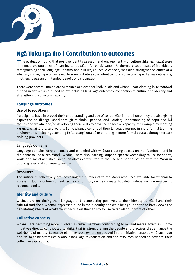<span id="page-9-0"></span>

## **Ngā Tukunga Iho | Contribution to outcomes**

The evaluation found that positive identity as Māori and engagement with culture (tikanga, kawa) were immediate outcomes of learning te reo Māori for participants. Furthermore, as a result of individuals strengthening their language, identity and culture, collective capacity was also strengthened either at a whānau, marae, hapū or iwi level. In some initiatives the intent to build collective capacity was deliberate, in others it was an unintended benefit of participation.

There were several immediate outcomes achieved for individuals and whānau participating in Te Mātāwai funded initiatives as outlined below including language outcomes, connection to culture and identity and strengthening collective capacity.

#### **Language outcomes**

#### **Use of te reo Māori**

Participants have improved their understanding and use of te reo Māori in the home; they are also giving expression to tikanga Māori through mihimihi, pepeha, and karakia; understanding of hapū and iwi stories and waiata; and/or developing their skills to advance collective capacity, for example by learning karanga, whaikōrero, and waiata. Some whānau continued their language journey in more formal learning environments including attending Te Ataarangi kura pō or enrolling in more formal courses through tertiary training providers.

#### **Language domains**

Language domains were enhanced and extended with whānau creating spaces online (Facebook) and in the home to use te reo Māori. Whānau were also learning kaupapa-specific vocabulary to use for sports, work, and social activities; some initiatives contributed to the use and normalisation of te reo Māori in public spaces and community venues.

#### **Resources**

The initiatives collectively are increasing the number of te reo Māori resources available for whānau to access including online content, games, kupu hou, recipes, waiata booklets, videos and marae-specific resource books.

#### **Identity and culture**

Whānau are reclaiming their language and reconnecting positively to their identity as Māori and their cultural traditions. Whānau expressed pride in their identity and were being supported to break down the debilitating effects of whakamā impacting on their ability to use te reo Māori in front of others.

#### **Collective capacity**

Whānau are becoming more involved as tribal members contributing to iwi and marae activities. Some initiatives directly contributed to ahikā, that is, strengthening the people and practices that enhance the well-being of marae. Language planning tools (where embedded in the initiative) enabled whānau, hapū and iwi to think strategically about language revitalisation and the resources needed to advance their collective aspirations.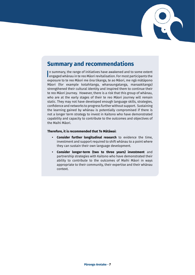

## <span id="page-10-0"></span>**Summary and recommendations**

In summary, the range of initiatives have awakened and to some extent<br>engaged whānau in te reo Māori revitalisation. For most participants the n summary, the range of initiatives have awakened and to some extent exposure to te reo Māori me ōna tikanga, te ao Māori, me ngā mātāpono Māori (for example kotahitanga, whanaungatanga, manaakitanga) strengthened their cultural identity and inspired them to continue their te reo Māori journey. However, there is a risk that this group of whānau, who are at the early stages of their te reo Māori journey will remain static. They may not have developed enough language skills, strategies, confidence and networks to progress further without support. Sustaining the learning gained by whānau is potentially compromised if there is not a longer term strategy to invest in Kaitono who have demonstrated capability and capacity to contribute to the outcomes and objectives of the Maihi Māori.

#### **Therefore, it is recommended that Te Mātāwai:**

- **• Consider further longitudinal research** to evidence the time, investment and support required to shift whānau to a point where they can sustain their own language development.
- **• Consider longer-term (two to three years) investment** and partnership strategies with Kaitono who have demonstrated their ability to contribute to the outcomes of Maihi Māori in ways appropriate to their community, their expertise and their whānau context.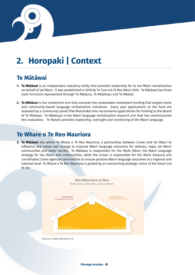<span id="page-11-0"></span>

# **2. Horopaki | Context**

## **Te Mātāwai**

- **1. Te Mātāwai** is an independent statutory entity that provides leadership for te reo Māori revitalisation on behalf of iwi Māori. It was established in 2016 by Te Ture mō Te Reo Māori 2016. Te Mātāwai has three main functions represented through Te Mātāuru, Te Mātātupu and Te Matatū.
- **2. Te Mātāuru** is the investment arm that oversees the contestable investment funding that targets home and community-based language revitalisation initiatives. Every year applications to the fund are assessed by a community panel (Pae Motuhake) who recommend applications for funding to the Board of Te Mātāwai. Te Mātātupu is the Māori language revitalisation research arm that has commissioned this evaluation. Te Matatū provides leadership, oversight and monitoring of the Māori language.

## **Te Whare o Te Reo Mauriora**

**3. Te Mātāwai** sits within Te Whare o Te Reo Mauriora, a partnership between Crown and Iwi Māori to influence and adopt real change to improve Māori language outcomes for whānau, hapū, iwi Māori communities and wider society. Te Mātāwai is responsible for the Maihi Māori, the Māori language strategy for iwi, Māori and communities, while the Crown is responsible for the Maihi Karauna and coordinates Crown agencies and entities to ensure positive Māori language outcomes at a regional and national level. Te Whare o Te Reo Mauriora is guided by an overarching strategic vision of *kia mauri ora te reo.*



*Source: www.tpk.govt.nz*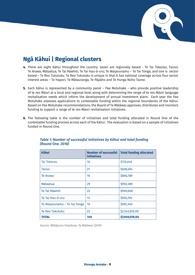

## <span id="page-12-0"></span>**Ngā Kāhui | Regional clusters**

- **4.** There are eight Kāhui throughout the country: seven are regionally based Te Tai Tokerau; Tainui; Te Arawa; Mātaatua; Te Tai Rāwhiti; Te Tai Hau-ā-uru; Te Waipounamu – Te Tai Tonga; and one is sector based – Te Reo Tukutuku. Te Reo Tukutuku is unique in that it has national coverage across four sector interest areas – Te Hapori, Te Mātauranga, Te Pāpāho and Te Hunga Noho Taone.
- **5.** Each Kāhui is represented by a community panel Pae Motuhake who provide positive leadership of te reo Māori at a local and regional level along with determining the range of te reo Māori language revitalisation needs which inform the development of annual investment plans. Each year the Pae Motuhake assesses applications to contestable funding within the regional boundaries of the Kāhui. Based on Pae Motuhake recommendations, the Board of Te Mātāwai approves, distributes and monitors funding to support a range of te reo Māori revitalisation initiatives.
- **6.** The following table is the number of initiatives and total funding allocated in Round One of the contestable funding process across each of the Kāhui. The evaluation is based on a sample of initiatives funded in Round One.

| <b>Kähui</b>                 | <b>Number of successful</b><br><b>initiatives</b> | <b>Total funding allocated</b> |
|------------------------------|---------------------------------------------------|--------------------------------|
| Tai Tokerau                  | 16                                                | \$726,646                      |
| <b>Tainui</b>                | 21                                                | \$628,494                      |
| <b>Te Arawa</b>              | 16                                                | \$860,789                      |
| Mātaatua                     | 29                                                | \$950,389                      |
| Te Tai Rāwhiti               | 22                                                | \$990,000                      |
| Te Tai Hau-a-uru             | 13                                                | \$556,704                      |
| Te Waipounamu - Te Tai Tonga | 10                                                | \$692,240                      |
| Te Reo Tukutuku              | 22                                                | \$2,543,816.00                 |
| <b>TOTAL</b>                 | 149                                               | \$7,949,078.00                 |

## *Table 1: Number of successful initiatives by Kāhui and total funding (Round One, 2018)*

*Source: Mātāpuna Database, Te Mātāwai (2019)*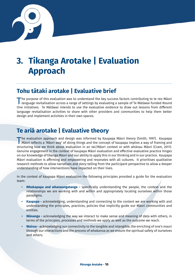# <span id="page-13-0"></span>**3. Tikanga Arotake | Evaluation Approach**

## **Tohu tātaki arotake | Evaluative brief**

The purpose of this evaluation was to understand the key success factors contributing to te reo Māori language revitalisation across a range of settings by evaluating a sample of Te Mātāwai-funded Round One initiatives. Te Mātāwai intends to use the evaluative evidence to draw out lessons from different language revitalisation activities to share with other providers and communities to help them better design and implement activities in their own spaces.

## **Te ariā arotake | Evaluative theory**

The evaluation approach and design was informed by Kaupapa Māori theory (Smith, 1997). Kaupapa<br>Māori reflects a 'Māori way' of doing things and the concept of kaupapa implies a way of framing and structuring how we think about evaluation in an iwi/Māori context or with whānau Māori (Cram, 2011). Genuine engagement in the context of kaupapa Māori evaluation and effective evaluative practice hinges on our knowledge of tīkanga Māori and our ability to apply this in our thinking and in our practice. Kaupapa Māori evaluation is affirming and empowering and resonates with all cultures. It prioritises qualitative research methods to allow narratives and story-telling from the participant perspective to allow a deeper understanding of how interventions have impacted on their lives.

In the context of kaupapa Māori evaluation the following principles provided a guide for the evaluation team:

- **• Whakapapa and whanaungatanga -** specifically understanding the people, the context and the relationships we are working with and within and appropriately locating ourselves within those paradigms.
- **• Kaupapa -** acknowledging, understanding and connecting to the content we are working with and understanding the principles, practices, policies that implicitly guide our Māori communities and entities.
- **• Wānanga -** acknowledging the way we interact to make sense and meaning of data with others, in terms of the principles, processes and methods we apply as well as the outcome we reach.
- **• Wairua -** acknowledging our connectivity to the tangible and intangible; the enriching of one's mauri through our interactions and the process of whakanoa as we ensure the spiritual safety of ourselves and others.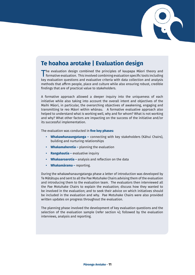

## <span id="page-14-0"></span>**Te hoahoa arotake | Evaluation design**

The evaluation design combined the principles of kaupapa Māori theory and formative evaluation. This involved combining evaluation specific tools including key evaluation questions and evaluative criteria with data collection and analysis methods that affirm people, place and culture while also ensuring robust, credible findings that are of practical value to stakeholders.

A formative approach allowed a deeper inquiry into the uniqueness of each initiative while also taking into account the overall intent and objectives of the Maihi Māori, in particular, the overarching objectives of awakening, engaging and transmitting te reo Māori within whānau. A formative evaluative approach also helped to understand what is working well, why and for whom? What is not working and why? What other factors are impacting on the success of the initiative and/or its successful implementation.

The evaluation was conducted in **five key phases:** 

- **• Whakawhanaungatanga –** connecting with key stakeholders (Kāhui Chairs), building and nurturing relationships
- **• Whakamaheretia –** planning the evaluation
- **• Rangahautia –** evaluative inquiry
- **• Whakaaroarotia** analysis and reflection on the data
- **• Whakamārama –** reporting.

During the whakawhanaungatanga phase a letter of introduction was developed by Te Mātātupu and sent to all the Pae Motuhake Chairs advising them of the evaluation and introducing them to the evaluation team. The evaluators then interviewed all the Pae Motuhake Chairs to explain the evaluation; discuss how they wanted to be involved in the evaluation; and to seek their advice on which initiatives should be included in the evaluation and why. Pae Motuhake Chairs were also provided written updates on progress throughout the evaluation.

The planning phase involved the development of key evaluation questions and the selection of the evaluation sample (refer section 4); followed by the evaluation interviews, analysis and reporting.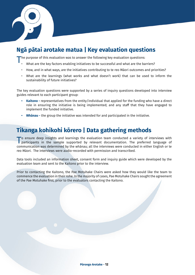<span id="page-15-0"></span>

## **Ngā pātai arotake matua | Key evaluation questions**

The purpose of this evaluation was to answer the following key evaluation questions:

- What are the key factors enabling initiatives to be successful and what are the barriers?
- How, and in what ways, are the initiatives contributing to te reo Māori outcomes and priorities?
- What are the learnings (what works and what doesn't work) that can be used to inform the sustainability of future initiatives?

The key evaluation questions were supported by a series of inquiry questions developed into interview guides relevant to each participant group:

- **• Kaitono -** representatives from the entity/individual that applied for the funding who have a direct role in ensuring the initiative is being implemented; and any staff that they have engaged to implement the funded initiative.
- **• Whānau -** the group the initiative was intended for and participated in the initiative.

## **Tikanga kohikohi kōrero | Data gathering methods**

To ensure deep insights and learnings the evaluation team conducted a variety of interviews with participants in the sample supported by relevant documentation. The preferred language of communication was determined by the whānau; all the interviews were conducted in either English or te reo Māori. The interviews were audio-recorded with permission and transcribed.

Data tools included an information sheet, consent form and inquiry guide which were developed by the evaluation team and sent to the Kaitono prior to the interview.

Prior to contacting the Kaitono, the Pae Motuhake Chairs were asked how they would like the team to commence the evaluation in their rohe. In the majority of cases, Pae Motuhake Chairs sought the agreement of the Pae Motuhake first, prior to the evaluators contacting the Kaitono.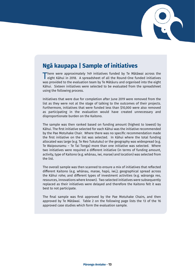

## <span id="page-16-0"></span>**Ngā kaupapa | Sample of initiatives**

There were approximately 149 initiatives funded by Te Mātāwai across the eight Kāhui in 2018. A spreadsheet of all the Round-One funded initiatives was provided to the evaluation team by Te Mātāuru and organised into the eight Kāhui. Sixteen initiatives were selected to be evaluated from the spreadsheet using the following process.

Initiatives that were due for completion after June 2019 were removed from the list as they were not at the stage of talking to the outcomes of their projects. Furthermore, initiatives that were funded less than \$10,000 were also removed as participating in the evaluation would have created unnecessary and disproportionate burden on the Kaitono.

The sample was then ranked based on funding amount (highest to lowest) by Kāhui. The first initiative selected for each Kāhui was the initiative recommended by the Pae Motuhake Chair. Where there was no specific recommendation made the first initiative on the list was selected. In Kāhui where the total funding allocated was large (e.g. Te Reo Tukutuku) or the geography was widespread (e.g. Te Waipounamu – Te Tai Tonga) more than one initiative was selected. Where two initiatives were required a different initiative (in terms of funding amount, activity, type of Kaitono (e.g. whānau, iwi, marae) and location) was selected from the list.

The overall sample was then scanned to ensure a mix of initiatives that reflected different Kaitono (e.g. whānau, marae, hapū, iwi,); geographical spread across the Kāhui rohe; and different types of investment activities (e.g. wānanga reo, resources, innovations where known). Two selected initiatives were subsequently replaced as their initiatives were delayed and therefore the Kaitono felt it was best to not participate.

The final sample was first approved by the Pae Motuhake Chairs, and then approved by Te Mātāwai. Table 2 on the following page lists the 13 of the 16 approved case studies which form the evaluation sample.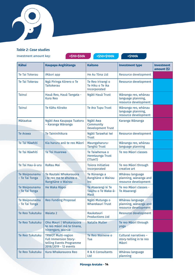

## *Table 2: Case studies*

| Investment amount key:          | <\$10>\$50k                                                                                                    | <\$50>\$100k                                          | <b>&lt;\$100k</b>                                                 |                                  |
|---------------------------------|----------------------------------------------------------------------------------------------------------------|-------------------------------------------------------|-------------------------------------------------------------------|----------------------------------|
| <b>Kähui</b>                    | Kaupapa Angitūtanga                                                                                            | <b>Kaitono</b>                                        | <b>Investment type</b>                                            | <b>Investment</b><br>amount (\$) |
| Te Tai Tokerau                  | iMāori app                                                                                                     | He Au Tōna Ltd                                        | Resource development                                              |                                  |
| <b>Te Tai Tokerau</b>           | Ngā Piringa Kōrero o Te<br><b>Taitokerau</b>                                                                   | Te Reo Irirangi o<br>Te Hiku o Te Ika<br>Incorporated | Resource development                                              |                                  |
| <b>Tainui</b>                   | Hauā Reo, Hauā Tangata -<br><b>Kura Reo</b>                                                                    | Ngāti Hauā Trust                                      | Wānanga reo, whānau<br>language planning,<br>resource development |                                  |
| <b>Tainui</b>                   | Te Kāhu Kōrako                                                                                                 | Te Ara Tupu Trust                                     | Wānanga reo, whānau<br>language planning,<br>resource development |                                  |
| Mātaatua                        | Ngāti Awa Kaupapa Tuatoru<br>- Karanga Wānanga                                                                 | Ngāti Awa<br>Community<br><b>Development Trust</b>    | Karanga Wānanga                                                   |                                  |
| <b>Te Arawa</b>                 | Te Taininihikura                                                                                               | Ngāti Tarawhai Iwi<br><b>Trust</b>                    | Resource development                                              |                                  |
| Te Tai Rāwhiti                  | Kia haruru ano te reo Māori                                                                                    | Maungaharuru-<br>Tangitū Trust                        | Wānanga reo, whānau<br>language planning                          |                                  |
| Te Tai Rāwhiti                  | <b>Te Toi Huarewa</b>                                                                                          | Te Taiwhenua o<br>Heretaunga Trust<br>(TToHT)         | Te reo Māori classes                                              |                                  |
| Te Tai Hau-ā-uru                | RaRau Mai                                                                                                      | <b>Toiora Initiative</b><br>Incorporated              | Te reo Māori through<br>creative art                              |                                  |
| Te Waipounamu<br>- Te Tai Tonga | Te Rautaki Whakarauora<br>i te reo me te ahurea o<br>Rangitāne o Wairau                                        | Te Rūnanga a<br>Rangitāne o Wairau<br><b>Inc</b>      | Whānau language<br>planning, wānanga and<br>resource development  |                                  |
| Te Waipounamu<br>- Te Tai Tonga | He Waka Rāpoi                                                                                                  | Te Ataarangi ki Te<br>Tauihu o Te Waka-ā-<br>Maui     | Te reo Māori classes -<br>Te Ataarangi                            |                                  |
| Te Waipounamu<br>- Te Tai Tonga | <b>Reo Funding Proposal</b>                                                                                    | Ngāti Mutunga o<br><b>Wharekauri Trust</b>            | Whānau language<br>planning, wānanga and<br>resource development  |                                  |
| <b>Te Reo Tukutuku</b>          | Waiata 2                                                                                                       | Raukatauri<br><b>Productions Ltd</b>                  | <b>Resource development</b>                                       |                                  |
| Te Reo Tukutuku                 | Oho Mauri   Whakarauora<br>te reo Māori mā te tinana,<br>hinengaro, wairua                                     | <b>Natalie Muller</b>                                 | Te reo Māori through<br>yoga                                      |                                  |
| Te Reo Tukutuku                 | <b>TRWOT Multi-region</b><br><b>Full Immersion Story-</b><br>telling Events Programme<br>2018/2019 - 12 events | Te Reo Wainene o<br>Tua                               | Cultural narratives -<br>story-telling in te reo<br>Māori         |                                  |
| Te Reo Tukutuku                 | Kura Whakarauora Reo                                                                                           | <b>R &amp; K Consultants</b><br>Ltd                   | Whānau language<br>planning                                       |                                  |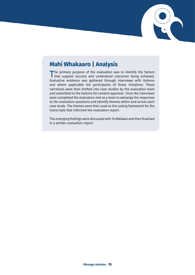

## <span id="page-18-0"></span>**Mahi Whakaaro | Analysis**

The primary purpose of the evaluation was to identify the factors that support success and understand outcomes being achieved. Evaluative evidence was gathered through interviews with Kaitono and where applicable the participants of those initiatives. These narratives were then drafted into case studies by the evaluation team and submitted to the Kaitono for content approval. Once the interviews were completed the evaluators met as a team to wānanga the responses to the evaluation questions and identify themes within and across each case study. The themes were then used as the coding framework for the transcripts that informed the evaluation report.

The emerging findings were discussed with Te Mātāwai and then finalised in a written evaluation report.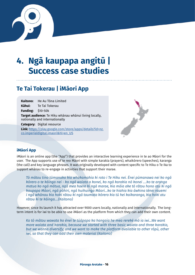# <span id="page-19-0"></span>**4. Ngā kaupapa angitū | Success case studies**

## **Te Tai Tokerau | iMāori App**

**Kaitono:** He Au Tōna Limited **Kāhui:** Te Tai Tokerau **Funding:** \$10-50k **Target audience:** Te Hiku whānau whānui living locally, nationally and internationally **Category:** Digital resource **Link:** [https://play.google.com/store/apps/details?id=nz.](https://play.google.com/store/apps/details?id=nz.co.imperialdigital.imaori&hl=en_US)

[co.imperialdigital.imaori&hl=en\\_US](https://play.google.com/store/apps/details?id=nz.co.imperialdigital.imaori&hl=en_US)



## **iMāori App**

iMāori is an online app (the "App") that provides an interactive learning experience in te ao Māori for the user. The App supports use of te reo Māori with simple karakia (prayers), whaikōrero (speeches), karanga (the call) and key language phrases. It was originally developed with content specific to Te Hiku o Te Ika to support whānau to re-engage in activities that support their marae.

*Tō mātou tino tūmanako kia whakamahia ki roto i Te Hiku nei. Ēnei pūmanawa nei ko ngā kōrero o te kāinga nei - ko ngā waiata o konei, ko ngā karakia nō konei ….ko te aronga matua ko ngā mātua, ngā mea haere ki ngā marae, kia māia ake tō rātou hono atu ki ngā kaupapa Māori, ngā pōhiri, ngā huihuinga Māori…ko te hiahia kia āwhina tēnei rauemi i ngā whānau kia hoki rātou ki ngā taumata kōrero kia tū hei kaikaranga, kia hoki atu rātou ki te kāinga….(Kaitono)*

However, since its launch it has attracted over 9000 users locally, nationally and internationally. The longterm intent is for iwi to be able to use iMāori as the platform from which they can add their own content.

*Ko tō mātou wawata ko ēnei te tūāpapa ka hangaia he mea rerekē mō ia iwi…We want more waiata and karakia, because we started with three basic waiata and three karakia, but we wanna diversify; and we want to make the platform available to other rōpū, other iwi, so that they can add their own material (Kaitono)*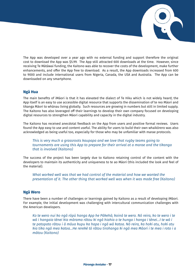

<span id="page-20-0"></span>The App was developed over a year ago with no external funding and support therefore the original cost to download the App was \$5.99. The App still attracted 600 downloads at the time. However, since receiving Te Mātāwai funding, the Kaitono was able to recover the costs of the development, make further enhancements, and offer the App free to download. As a result, the App downloads increased from 600 to 9000 and include international users from Nigeria, Canada, the USA and Australia. The App can be downloaded on any smartphone.

## **Ngā Hua**

The main benefits of iMāori is that it has elevated the dialect of Te Hiku which is not widely heard; the App itself is an easy to use accessible digital resource that supports the dissemination of te reo Māori and tikanga Māori to whānau living globally. Such resources are growing in numbers but still in limited supply. The Kaitono has also leveraged off their learnings to develop their own company focused on developing digital resources to strengthen Māori capability and capacity in the digital industry.

The Kaitono has received anecdotal feedback on the App from users and positive formal reviews. Users found the App easy to use and content useful. The ability for users to build their own whaikōrero was also acknowledged as being useful too, especially for those who may be unfamiliar with marae protocols.

*This is very much a grassroots kaupapa and we love that rugby teams going to tournaments are using this App to prepare for their arrival at a marae and the tikanga that is involved (Kaitono)*

The success of the project has been largely due to Kaitono retaining control of the content with the developers to maintain its authenticity and uniqueness to te ao Māori (this included the look and feel of the material).

*What worked well was that we had control of the material and how we wanted the presentation of it. The other thing that worked well was when it was made free (Kaitono)*

#### **Ngā Wero**

There have been a number of challenges or learnings gained by Kaitono as a result of developing iMāori. For example, the initial development was challenging with intercultural communication challenges with the American developers.

*Ko te wero nui ko ngā rōpū hanga App he Pākehā; koinā te wero. Nō reira, ko te wero i te wā i hangaia tēnei kia mārama rātou ki ngā hiahia o te hunga i hanga i tēnei…I te wā i te patopato rātou i ā māua kupu ka hapa i ngā wā katoa. Nō reira, ka hoki atu, hoki atu kia tika ngā mea katoa…He rerekē tō rātou tirohanga ki ngā mea Māori i te mea i roto i a mātou (Kaitono)*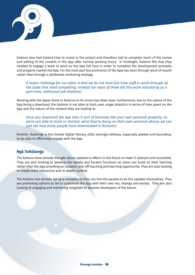<span id="page-21-0"></span>

Kaitono also had limited time to invest in the project and therefore had to complete much of the review and editing of the content in the App after normal working hours. In hindsight, Kaitono felt that they needed to engage a team to work on the App full time in order to complete the development promptly and properly market the App. For the most part the promotion of the App has been through word of mouth rather than through a deliberate marketing strategy.

*A major challenge for our team is that we do not have full-time staff to work through all the tasks that need completing. Instead our team of three did this work voluntarily as a part-time, additional job (Kaitono)*

Working with the Apple Store in America to fix errors has been slow. Furthermore, due to the nature of the App being a download, the Kaitono is not able to track user usage statistics in terms of time spent on the App and the nature of the content they are looking at.

*Once you download the App then it sort of becomes like your own personal property. So we're not able to track or monitor what they're doing on their own personal phone; we can just see how many people have downloaded it (Kaitono)*

Another challenge is the limited digital literacy skills amongst whānau, especially pakeke and kaumātua, to be able to effectively engage with the App.

## **Ngā Toitūtanga**

The Kaitono have already thought about updates to iMāori in the future to make it relevant and accessible. They are also looking to develop the waiata and karakia functions so users can build on their learning rather than the App providing an isolated, one-off teaching and learning opportunity. They are also looking to create more interactive and in-depth content.

The Kaitono has already set up a company so they can hire the people to do the updates themselves. They are promoting options to iwi to customise the App with their own reo, tikanga and waiata. They are also looking at engaging and mentoring rangatahi to become developers of the future.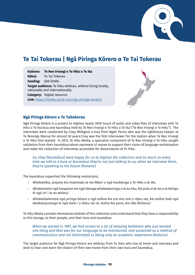

## <span id="page-22-0"></span>**Te Tai Tokerau | Ngā Piringa Kōrero o Te Tai Tokerau**

**Kaitono: Te Reo Irirangi o Te Hiku o Te Ika Kāhui:** Te Tai Tokerau **Funding:** \$50-\$100k **Target audience:** Te Hiku whānau, whānui living locally, nationally and internationally. **Category:** Digital resource **Link:** <https://tehiku.nz/te-reo/nga-piringa-korero/>



## **Ngā Piringa Kōrero o Te Taitokerau**

Ngā Piringa Kōrero is a project to digitise nearly 3000 hours of audio and video files of interviews with Te Hiku o Te Ika kuia and kaumātua held by Te Reo Irirangi o Te Hiku o Te Ika ("Te Reo Irirangi o Te Hiku"). The interviews were conducted by Cissy Midtgard a kuia from Ngāti Porou who was the lighthouse keeper at Te Rerenga Wairua for almost 50 years.Cissy was the first interviewer for the station when Te Reo Irirangi o Te Hiku first started. In 2013, Te Hiku Media, a specialist component of Te Reo Irirangi o Te Hiku sought validation from their kaumātua whom represent 47 marae to support their vision of language revitalisation and make the collection of interviews accessible for descendants of Te Hiku.

*So, they (kaumātua) were happy for us to digitise the collection and so much as every time we talk to a kuia or kaumatua they're not just talking to us, when we interview them, they're speaking to the future (Kaitono)*

The kaumātua supported the following resolutions:

- *• Whakatōkia, poipoia kia matomato te reo Māori o ngā haukāinga o Te Hiku o te Ika.*
- *• Whakamahia ngā hangarau me ngā tikanga whakataeranga o te ao hōu, kia puta ai te reo o te kāinga ki ngā uri i te ao whānui.*
- *• Whakatūwheratia ngā piringa kōrero o ngā mātua kia ora mai anō o rātou reo, kia mōhio hoki ngā whakatupuranga ki ngā mahi i o rātou nei rā, mahia kia pono, kia tika (Kaitono)*

Te Hiku Media consider themselves kaitiaki of this collection and understand that they have a responsibility to this taonga, to their people, and their kuia and kaumātua.

*When we started in 1991, we had access to a lot of amazing kaikōrero who just wanted one thing and that was for our language to be maintained, and sustained as a method of communication and not diminished to being only an academic experience (Kaitono)*

The target audience for Ngā Piringa Kōrero are whānau from Te Hiku who live at home and overseas and wish to hear and learn the dialect of their own home from their own kuia and kaumātua.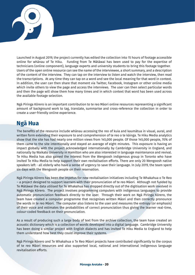<span id="page-23-0"></span>

Launched in August 2019, the project currently has edited the collection into 15 hours of footage accessible online for whānau of Te Hiku. Funding from Te Mātāwai has been used to pay for the expertise of technicians (online component), language experts and university students to bring this footage together. Users of the open online resource can see the name of the interviewee, a short summary, and a description of the content of the interview. They can tap on the interview to listen and watch the interview, then read the transcriptions. At any time they can tap on a word and see the local meaning for that word in context. In addition, the user can then share that moment via Twitter, Facebook, Instagram or other online media which invite others to view the page and access the interviews. The user can then select particular words and then the page will show them how many times and in which context that word has been used across the available footage selection.

Ngā Piringa Kōrero is an important contribution to te reo Māori online resources representing a significant amount of background work to tag, translate, summarise and cross-reference the collection in order to create a user-friendly online experience.

## **Ngā Hua**

The benefits of the resource include whānau accessing the reo of kuia and kaumātua in visual, aural, and written form extending their exposure to and comprehension of te reo o te kāinga. Te Hiku Media analytics show that the site has had nearly one million views from 145,000 people. Of those 145,000 people, 70% of them came to the site intentionally and stayed an average of eight minutes. This exposure is having an impact globally with the project acknowledged internationally by Cambridge University in England, and nationally by Waikato University in Hamilton who are also interested in language maintenance and revival. Te Hiku Media has also gained the interest from the Wengoosh indigenous group in Toronto who have invited Te Hiku Media to help support their own revitalisation efforts. There are only 20 Wengoosh native speakers left - all elderly who have a sense of urgency to save their language. In July 2019, the team spent six days with the Wengoosh people on their reservation.

Ngā Piringa Kōrero has been the impetus for new revitalisation initiatives including Te Whakahua o Te Reo – a project designed to support learners with their pronunciation of te reo Māori. Although not funded by Te Mātāwai the data utilised for Te Whakahua has dropped directly out of the digitisation work involved in Ngā Piringa Kōrero. The project involves programming computers with indigenous languages to provide automatic pronunciation feedback directly to the user. Through their work on Ngā Piringa Kōrero, the team have created a computer programme that recognises written Māori and then correctly pronounce the words in te reo Māori. The computer also listens to the user and measures the entropy (or emphasis) of their voice and estimates the probabilities of correct pronunciation thus giving the learner real-time, colour-coded feedback on their pronunciation.

As a result of producing such a large body of text from the archive collection, the team have created an acoustic dictionary which is a collection of words developed into a digital language. Cambridge University has been doing a similar project with English dialects and has invited Te Hiku Media to England to help them understand how best they could improve their systems.

Ngā Piringa Kōrero and Te Whakahua o Te Reo Māori projects have contributed significantly to the corpus of te reo Māori resources and also supported local, national and international indigenous language revitalisation efforts.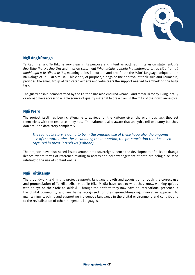

## <span id="page-24-0"></span>**Ngā Angitūtanga**

Te Reo Irirangi o Te Hiku is very clear in its purpose and intent as outlined in its vision statement, *He Reo Tuku Iho, He Reo Ora* and mission statement *Whakatōkia, poipoia kia matomato te reo Māori o ngā haukāinga o Te Hiku o te Ika*, meaning to instill, nurture and proliferate the Māori language unique to the haukāinga of Te Hiku o te Ika. This clarity of purpose, alongside the approval of their kuia and kaumātua, provided the small group of dedicated experts and volunteers the support needed to embark on the huge task.

The guardianship demonstrated by the Kaitono has also ensured whānau and tamariki today living locally or abroad have access to a large source of quality material to draw from in the mita of their own ancestors.

## **Ngā Wero**

The project itself has been challenging to achieve for the Kaitono given the enormous task they set themselves with the resources they had. The Kaitono is also aware that analytics tell one story but they don't tell the data story completely.

*The real data story is going to be in the ongoing use of these kupu ake, the ongoing use of the word order, the vocabulary, the intonation, the pronunciation that has been captured in these interviews (Kaitono)*

The projects have also raised issues around data sovereignty hence the development of a 'kaitiakitanga licence' where terms of reference relating to access and acknowledgement of data are being discussed relating to the use of content online.

## **Ngā Toitūtanga**

The groundwork laid in this project supports language growth and acquisition through the correct use and pronunciation of Te Hiku tribal mita. Te Hiku Media have kept to what they know, working quietly with an eye on their role as kaitiaki. Through their efforts they now have an international presence in the digital community and are being recognised for their ground-breaking, innovative approach to maintaining, teaching and supporting indigenous languages in the digital environment, and contributing to the revitalisation of other indigenous languages.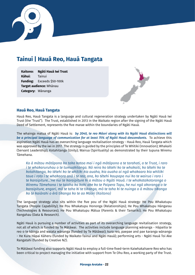<span id="page-25-0"></span>

## **Tainui | Hauā Reo, Hauā Tangata**

**Kaitono: Ngāti Hauā Iwi Trust Kāhui:** Tainui **Funding:** Exceeds \$50-100k **Target audience:** Whānau **Category:** Wānanga



## **Hauā Reo, Hauā Tangata**

Hauā Reo, Hauā Tangata is a language and cultural regeneration strategy undertaken by Ngāti Hauā Iwi Trust (the 'Trust"). The Trust, established in 2013 in the Waikato region after the signing of the Ngāti Hauā Deed of Settlement, represents the five marae within the boundaries of Ngāti Hauā.

The whainga matua of Ngāti Hauā is: *by 2040, te reo Māori along with its Ngāti Hauā distinctions will be a principal language of communication for at least 75% of Ngāti Hauā descendants.* To achieve this aspiration Ngāti Hauā has an overarching language revitalisation strategy - Hauā Reo, Hauā Tangata which was approved by the iwi in 2017. The strategy is guided by the principles of Te Whītiki (Innovation); Whakaiti (Servant Leadership); Kotahitanga (Unity); Wairua (Spirituality) as demonstrated by their tupuna Wiremu Tāmehana.

*Ko ā mātou mātāpono ka taka katoa mai i ngā mātāpono a te tarahati, a te Trust, i raro i te whakaruruhau o te tumuakitanga. Nō reira ko tētehi ko te whakaiti, ko tētehi ko te kotahitanga, ko tētehi ko te whītiki kia auaha, kia auaha ai ngā whakaaro kia whītiki taua i roto i te whakaora anō i te reo; ana, ko tētehi kaupapa nui ko te wairua i raro i te karaipiture…'He nui te karaipiture ki a mātou o Ngāti Hauā. I te whakatakotoranga o Wiremu Tāmehana i te taiaha ka kohi ake ko te Paipera Tapu, he nui ngā akoranga o te karaipiture, engari, mō te taha ki te tikanga, mō te taha ki te nuinga o ā mātou tikanga ko te kaiārahi o ērā tikanga ko te ao Māori (Kaitono)*

The language strategy also sits within the five pou of the Ngāti Hauā strategy: He Pou Whakatupu Tangata (People Capability); He Pou Whakatupu Hononga (Relationships); He Pou Whakatupu Hāngarau (Technologies & Resources); He Pou Whakatupu Mātua (Parents & their Tamariki); He Pou Whakatupu Rangahau (Data & Research).

Ngāti Hauā is pursuing a number of activities as part of its overarching language revitalisation strategy, not all of which is funded by Te Mātāwai. The activities include language planning wānanga - Hāpaitia te reo o te kāinga and waiata wānanga (funded by Te Mātāwai); kura reo, paepae and pae karanga wānanga - He Kura Hāpai Kāheru (funded by Waikato-Tainui and Ngāti Hauā); performing arts - Ngāti Hauā Toi Ake Rangatahi (funded by Creative NZ).

Te Mātāwai funding also supports Ngāti Hauā to employ a full-time fixed-term Kaiwhakahaere Reo who has been critical to project managing the initiative with support from Te Ohu Reo, a working party of the Trust.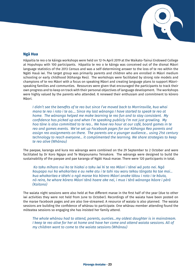

## <span id="page-26-0"></span>**Ngā Hua**

Hāpaitia te reo o te kāinga workshops were held on 12-14 April 2019 at the Waikato-Tainui Endowed College at Hopuhopu with 100 participants. Hāpaitia te reo o te kāinga was conceived out of the dismal Māori language statistics of the 2013 Census and was a self-determining answer to the loss of te reo within the Ngāti Hauā iwi. The target group was primarily parents and children who are enrolled in Māori medium schooling or early childhood (Kōhanga Reo). The workshops were facilitated by strong role models and champions of te reo Māori with a focus on speaking Māori and creating language plans to support Māorispeaking families and communties. Resources were given that encouraged the participants to track their own progress and to keep on track with their personal objectives of language development. The workshops were highly valued by the parents who attended. It renewed their enthusiam and commitment to kōrero Māori.

*I didn't see the benefits of te reo but since I've moved back to Morrinsville, kua whai mana te reo i roto i te ao…. Since my last wānanga I have started to speak te reo at home. The wānanga helped me make learning te reo fun and to stay consistent. My confidence has picked up and when I'm speaking publicly I'm not just growling. My hoa tāne is also committed to te reo… We have reo hour at our café, board games in te reo and games events. We've set up Facebook pages for our Kōhanga Reo parents and assign reo assignments on there. The parents are a younger audience… using 21st century technology to reach everyone… it complimented the learning. We share strategies to keep te reo alive (Whānau)*

The paepae, karanga and kura reo wānanga were combined on the 29 September to 2 October and were facilitated by Dr Koro Ngapo and Te Waipounamu Teinakore. The wānanga were designed to build the sustainability of the paepae and pae karanga of Ngāti Hauā marae. There were 120 participants in total.

 *Ko taku mīharo nui ko te hiakai o taku iwi ki te reo Māori i tēnei wā poto nei. Ngā kaupapa nui ka whakaritea e au neke atu i te tahi rau waru tekau tāngata ka tae mai… kua whakaritea e tētehi o ngā marae kia kōrero Māori anake tātou i roto i te kāuta, nō reira, he whare kōrero Māori tēnā haere ake nei, i mua i tērā wānanga kāore i pērā (Kaitono)*

The waiata night sessions were also held at five different marae in the first half of the year (due to other iwi activities they were not held from June to October). Recordings of the waiata have been posted on the marae Facebook pages and are also live-streamed. A resource of waiata is also planned. The waiata sessions are building the confidence of whānau to participate. One whānau member attending found the mōteatea sessions so engaging she has insisted her family attend.

*The whole whānau had to attend, parents, aunties…my oldest daughter is in mainstream. I keep te reo alive for her at home and have her come and attend waiata sessions. All of my children want to come to the waiata sessions (Whānau)*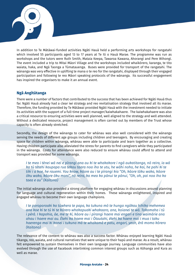<span id="page-27-0"></span>

In addition to Te Mātāwai-funded activities Ngāti Hauā held a performing arts workshops for rangatahi which involved 55 participants aged 13 to 17 years at Te Iti o Hauā Marae. The programme was run as workshops and the tutors were Ruth Smith, Mataia Keepa, Tawaroa Kawana, Ahorangi and Pere Wihongi. The event included a trip to Mitai Māori Village and the workshops included whaikōrero, karanga, te tito waiata, haka, and Ngā Taonga a Tūmatauenga. Buses were provided for transport of the rangatahi. The wānanga was very effective in uplifting te mana o te reo for the rangatahi, displayed through their engaged participation and following te reo Māori speaking protocols of the wānanga. Its successful engagement has inspired the organisers to make it an annual event.

## **Ngā Angitūtanga**

There were a number of factors that contributed to the success that has been achieved for Ngāti Hauā thus far. Ngāti Hauā already had a clear iwi strategy and reo revitalisation strategy that involved all its marae. Therefore, the funding provided by Te Mātāwai provided Ngāti Hauā with the investment needed to initiate its activities with the support of a full-time project manager/kaiwhakahaere. The kaiwhakahaere was also a critical resource to ensuring activities were well planned, well aligned to the strategy and well attended. Without a dedicated resource, project management is often carried out by members of the Trust whose capacity is often already stretched.

Secondly, the design of the wānanga to cater for whānau was also well considered with the wānanga serving the needs of different age groups including children and teenagers. By encouraging and creating space for children within wānanga, whānau were able to participate and learn together as a collective. Having children participate also alleviated the stress for parents to find caregivers while they participated in the wānanga. Costs for attendance were also reduced to ensure whānau could afford to attend and transport was provided for some wānanga.

*I te mea i tēnei wā nei e pīrangi ana au ki te whakakore i ngā aukatitanga, nō reira, ia wā ka tū tētehi kaupapa rua tekau taara noa iho te utu, he wāhi noho, he kai, he pahi ki te tiki i a koe, he rauemi. You know, kāore au i te pīrangi kia "Oh, kāore tōku waka, kāore ōku waka, kāore ōku moni", nō reira, ka mea ka pānui te pānui, "Oh, oh, pai noa iho ka taea e au" (Kaitono)*

The initial wānanga also provided a strong platform for engaging whānau in discussions around planning for language and cultural regeneration within their homes. These wānanga enlightened, inspired and engaged whānau to become their own language champions.

*I te poroporoaki ka tūwhera te papa, ka tukuna mō te hunga ngākau hihiko mehemea ana koe ki te tū ki te kōrero whakapuaki whakaaro, ana, koianei te wā. Tokomaha i tū i pērā. I kapohia, āe, me te kī, kāore au i pīrangi haere mai engari e tino waimārie ana ahau i haere mai au. Ētehi ka haere mai i Ōtautahi, ētehi ka haere mai i mua i taku haerenga mai ki konei i tukuna mā te whakamā e patu, engari, yeah, ērā momo kōrero (Kaitono)*

The relevance of the content to whānau was also a success factor. Whānau enjoyed learning Ngāti Hauā tikanga, reo, waiata, and cultural narratives that were unique to their hapū and marae. As a result, whānau felt empowered to sustain themselves in their own language journey. Language communities have also evolved through the use of Facebook interlinking common interest groups such as Kōhanga and Kura as well as marae.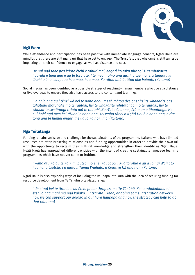

## <span id="page-28-0"></span>**Ngā Wero**

While attendance and participation has been positive with immediate language benefits, Ngāti Hauā are mindful that there are still many uri that have yet to engage. The Trust felt that whakamā is still an issue impacting on their confidence to engage, as well as distance and cost.

*He nui ngā take pea kāore ētehi e tahuri mai, engari ko taku pīrangi ki te whakarite huarahi e taea ana e au te toro atu. I te mea mōhio ana au…kia tae mai ērā tāngata ki tētehi o ēnei kaupapa kua mau, kua mau. Ko rātou anō ō rātou ake kaipatu (Kaitono)*

Social media has been identified as a possible strategy of reaching whānau members who live at a distance or live overseas to ensure they also have access to the content and learnings.

*E hiahia ana au i tēnei wā kei te noho ahau me tā mātou designer kei te whakarite pae tukutuku motuhake mō te rautaki, kei te whakarite rēhitatanga mō te rautaki, kei te whakarite...whārangi tiriata mō te rautaki...YouTube Channel, ērā momo āhuatanga. He nui hoki ngā mea kei rāwahi e noho ana, kei waho rānei o Ngāti Hauā e noho ana, e rite tonu ana te hiakai engari me uaua ka hoki mai (Kaitono)*

## **Ngā Toitūtanga**

Funding remains an issue and challenge for the sustainability of the programme. Kaitono who have limited resources are often brokering relationships and funding opportunities in order to provide their own uri with the opportunity to reclaim their cultural knowledge and strengthen their identity as Ngāti Hauā. Ngāti Hauā has approached different entities with the intent of creating sustainable language learning programmes which have not yet come to fruition.

*I waho atu ko au te kaikimi pūtea mō ēnei kaupapa… Kua torohia e au a Tainui Waikato kua kaha tautoko i a mātou, Tainui Waikato; a Creative NZ anō hoki (Kaitono)*

Ngāti Hauā is also exploring ways of including the kaupapa into kura with the idea of securing funding for resource development from Te Tāhūhū o te Mātauranga.

*I tēnei wā kei te tirohia e au ētehi philanthropics, me Te Tāhūhū. Kei te whakahanumi ētehi o ngā mahi mā ngā kaiako… Integrate… Yeah, or doing some integration between how we can support our kaiako in our kura kaupapa and how the strategy can help to do that (Kaitono)*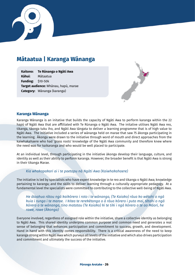<span id="page-29-0"></span>

## **Mātaatua | Karanga Wānanga**

**Kaitono: Te Rūnanga o Ngāti Awa Kāhui:** Mātaatua **Funding:** \$10-50k **Target audience:** Whānau, hapū, marae **Category:** Wānanga (karanga)



#### **Karanga Wānanga**

Karanga Wānanga is an initative that builds the capacity of Ngāti Awa to perform karanga within the 22 hapū of Ngāti Awa that are affliliated with Te Rūnanga o Ngāti Awa. The initative utilises Ngāti Awa reo, tikanga, tāonga tuku iho, and Ngāti Awa tāngata to deliver a learning programme that is of high value to Ngāti Awa. The initiative included a series of wānanga held on marae that saw 75 ākonga participating in the learning. Ākonga were drawn to the initiative through word of mouth and direct approaches from the kaiwhakahaere who had 'grass roots' knowledge of the Ngāti Awa community and therefore knew where the need was for kaikaranga and who would be well placed to participate.

At an individual level, through participating in the initiative ākonga develop their language, culture, and identity as well as their ability to perform karanga. However, the broader benefit is that Ngāti Awa is strong in their tikanga Marae.

#### *Kia whakapakari ai i te paetapu nā Ngāti Awa (Kaiwhakahaere)*

The initiative is led by specialists who have expert knowledge in te reo and tikanga o Ngāti Awa; knowledge pertaining to karanga; and the skills to deliver learning through a culturally appropriate pedagogy. At a fundamental level the specialists were committed to contributing to the collective well-being of Ngāti Awa.

*He ātaahua rātou ngā kaikōrero i roto i te wānanga, (Te Kaiako) rāua ko wētahi o ngā kuia i runga i te marae. I kitea te rerekētanga o ā rāua kōrero i puta mai, tētahi o ngā kōrero o te wānanga, tino matatau (Te Kaiako) ki te tiki i ngā kōrero o te ao Māori, he rawe, rawe (Ākonga)*

Everyone involved, regardless of assigned role within the initiative, share a collective identity as belonging to Ngāti Awa. This shared identity underpins common purpose and common need and generates a real sense of belonging that enhances participation and commitment to success, growth, and development. Hand in hand with this identity comes responsibility. There is a critical awareness of the need to keep karanga strong within Ngāti Awa which purveys all levels of the initiative and which also drives participation and commitment and ultimately the success of the initiative.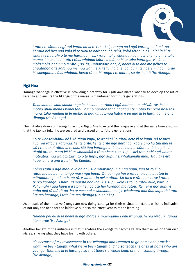

<span id="page-30-0"></span>*I roto i te kīhini i ngā wā katoa au ki te tunu kai, i rongo au i ngā karanga o ā mātou koroua kei hea ngā kuia ki te tuku te karanga, nō reira, koirā tētahi o aku hiahia ki te whai i te huarahi o te reo karanga me… i roto i tōku whānau kua mate aku kuia me tōku mama, i kite ai au i roto i tōku whānau kāore o mātou ki te tuku karanga. He āhua mokemoke ahau mō a rātou, so, āe, i whakaaro ana, ā, haere ki te ako me pēhea te āhuatanga o te karanga me ngā wahine ki te tū, nāianei pai au ki te haere ki ngā marae ki waenganui i ōku whānau, herea rātou ki runga i te marae, so āe, koinā (He Ākonga)*

## **Ngā Hua**

Karanga Wānanga is effective in providing a pathway for Ngāti Awa marae whānau to develop the art of karanga and ensure the tikanga of the marae is maintained for future generations.

*Taku kuia he kuia kaikaranga ia, he kuia taurima i ngā marae o te takiwā. Āe, kei te mōhio ahau mēnā i kōnei tonu ia tino harikoa tana ngākau i te mōhio kei reira hoki taku mana, taku ngākau ki te mōhio ki ngā āhuatanga katoa e pā ana ki te karanga me ōna tikanga (He Ākonga)*

The initiative draws on taonga tuku iho o Ngāti Awa to extend the language and at the same time ensuring that the taonga tuku iho are secured and passed on to future generations.

*Ko te whakawhānui kē i wā rātou kupu, te whakakī o rātou kete ki te kupu, nā te mea, kua roa rātou e karanga, kei te ōrite, kei te ōrite ngā karanga. Kaore anō ka tīni mai te wā i timata ai rātou ki te ako. Mō āua karanga anō kei te haere. Kāore anō kia piki ki tētahi atu taumata kē ki te whakakīkī o rātou kete ki te kupu…Kei roto hoki ngā waiata mōteatea, ngā waiata tawhitō o tō hapū, ngā kupu hei whakamahi māu. Nāu ake ērā kupu, e hara ana wētahi (He Kaiako)*

*Koina ētahi o ngā mahi o ia ahiahi, kua whakarōpūhia ngā hapū, kua titiro ki o rātou mōteatea hei tango mai i ngā kupu. Oti pai ngā hui o rātou. Kua kite rātou te māramatanga o āua kupu rā, e waiatatia nei e rātou. Ka taea e rātou te kawe i roto i te reo karanga. Ehara i te waiata noa iho. He kupu wērā i tito i o rātou kuia, koroua. Pukumahi i āua kupu a wētahi kē noa atu hei karanga mō rātou. Kei rēira ngā kupu e noho mai rā mō rātou, ko te mea nui e whakaoho mai, e whakaara mai āua kupu rā i roto i te reo karanga, i roto i te reo tikanga (He Kaiako)*

As a result of the initiative ākonga are now doing karanga for their whānau on Marae, which is indicative of not only the need for the initiative but also the effectiveness of the learning.

*Nāianei pai au ki te haere ki ngā marae ki waenganui i ōku whānau, herea rātou ki runga i te marae (He Ākonga)*

Another benefit of the initiative is that it enables the ākonga to become kaiako themselves on their own Marae, sharing what they have learnt with others.

*It's because of my involvement in the wānanga and I wanted to go home and practise what I've been taught, what we've been taught and I also teach the ones at home who are younger than me ki te karanga so that there's a whole heap of them coming through (He Ākonga)*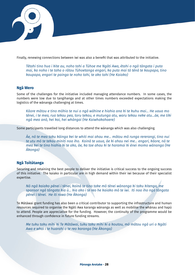<span id="page-31-0"></span>

Finally, renewing connections between iwi was also a benefit that was attributed to the initiative.

*Tētahi tino hua i kite au, noho tahi a Tūhoe me Ngāti Awa, ētahi o ngā tāngata i puta mai, ka noho i te taha o rātou Tūhoetanga engari, ka puta mai tā tēnā te kaupapa, tino kaupapa, engari te painga te noho tahi, te ako tahi (He Kaiako)*

#### **Ngā Wero**

Some of the challenges for the initiative included managing attendance numbers. In some cases, the numbers were low due to tangihanga and at other times numbers exceeded expectations making the logistics of the wānanga challenging at times.

*Kāore mātou e tino mōhio te nui o ngā wāhine e hiahia ana ki te kuhu mai… He uaua mo tēnei, i te mea, rua tekau pea, toru tekau, e mutunga atu, waru tekau neke atu…āe, me tiki ngā mea anō, hei kai, hei whāngai (He Kaiwhakahaere)* 

Some participants travelled long distances to attend the wānanga which was also challenging.

*Āe, nā te mea taku kāinga kei te whiti mai ahau me… mātou mā runga rererangi, tino nui te utu mō te tekau miniti noa iho. Koinā te uaua, āe ki ahau nei me… engari, kāore, nā te mea kei te tino hiahia ki te ako, āe, ka tae ahau ki te haramai ki ēnei momo wānanga (He Ākonga)*

#### **Ngā Toitūtanga**

Securing and retaining the best people to deliver the initiative is critical success to the ongoing success of this initiative. The kaiako in particular are in high demand within their iwi because of their specialist expertise.

*Nō ngā kaiako pēnei i tēnei, koinā te tino take mō tēnei wānanga ki taku kitenga, me sponsor ngā tāngata kia ū… kia ako i te reo he kaiako mō te iwi. Iti noa iho ngā tāngata pēnei i tēnei. He iti rawa (He Ākonga)* 

Te Mātāwai grant funding has also been a critical contributor to supporting the infrastructure and human resources required to organise the Ngāti Awa karanga wānanga as well as mobilise the whānau and hapū to attend. People are appreciative for the funding. However, the continuity of the programme would be enhanced through confidence in future funding streams.

*Me tuku taku mihi ki Te Mātāwai, tuku taku mihi ki a koutou, mō mātou ngā uri o Ngāti Awa e whai i te huarahi o te reo karanga (He Ākonga)*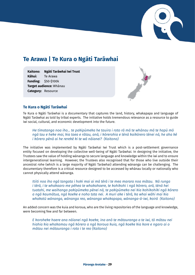

## <span id="page-32-0"></span>**Te Arawa | Te Kura o Ngāti Tarāwhai**

**Kaitono: Ngāti Tarāwhai Iwi Trust Kāhui:** Te Arawa **Funding:** \$50-\$100k **Target audience:** Whānau **Category:** Resource



## **Te Kura o Ngāti Tarāwhai**

Te Kura o Ngāti Tarāwhai is a documentary that captures the land, history, whakapapa and language of Ngāti Tarāwhai as told by tribal experts. The initiative holds tremendous relevance as a resource to guide iwi social, cultural, and economic development into the future.

*He tīmatanga noa iho… te pakipūmeka he tauira i roto rā mā te whānau mā te hapū mō ngā tau e heke mai, kia taea e rātau, anā, i kōrerohia e tēnā kaikōrero tēnei nā, he aha kē i kōrero pēnā ai he rerekē ki te wā nāianei? (Kaitono)*

The initiative was implemented by Ngāti Tarāwhai Iwi Trust which is a post-settlement governance entity focused on developing the collective well-being of Ngāti Tarāwhai. In designing the initiative, the Trustees saw the value of holding wānanga to secure language and knowledge within the iwi and to ensure intergenerational learning. However, the Trustees also recognised that for those who live outside their ancestral rohe (which is a large majority of Ngāti Tarāwhai) attending wānanga can be challenging. The documentary therefore is a critical resource designed to be accessed by whānau locally or nationally who cannot physically attend wānanga.

*Itiiti noa iho ngā tangata i hoki mai ai mā tērā i te mea marara noa mātau. Nā runga i tērā, i te whakaaro me pēhea te whakahaere, te kohikohi i ngā kōrero, arā, tēnā hei tuatahi, me waihanga pakipūmeka pēnei nā, te pakipūmeka nei kia kohikohiki ngā kōrero a ngā kaumātua, ngā koeke e noho tata nei. A muri ake i tērā, ka whai wāhi mai kia whakatū wānanga, wānanga reo, wānanga whakapapa, wānanga-ā-iwi, koirā (Kaitono)*

An added concern was the kuia and koroua, who are the living repositories of the language and knowledge, were becoming few and far between.

*E koroheke haere ana nāianei ngā koeke, ina anō te mātauranga a te iwi, tō mātau nei hiahia kia whakamau ngā kōrero a ngā koroua kuia, ngā koeke kia kore e ngaro ai o mātau nei mātauranga i roto i te reo (Kaitono)*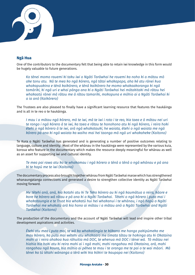<span id="page-33-0"></span>

## **Ngā Hua**

One of the contributors to the documentary felt that being able to retain iwi knowledge in this form would be hugely valuable to future generations.

*Ko tēnei momo rauemi ki taku iwi o Ngāti Tarāwhai he rauemi ka noho ki a mātou mō ake tonu atu. Nā te mea ko ngā kōrero, ngā tātai whakapapa, aha kē atu rānei kua whakapuakina e tēnā kaikōrero, e tēnā kaikōrero he momo whakaakoranga ki ngā tamāriki, ki ngā uri e whai pānga ana ki a Ngāti Tarāwhai hei mātakitaki mā rātou hei whakaatū rānei mā rātou me ā rātou tamariki, mokopuna e mōhio ai a Ngāti Tarāwhai ki a ia anō (Kaikōrero)*

The Trustees are also pleased to finally have a significant learning resource that features the haukāinga and is all in te reo o te haukāinga.

*I mau i a mātau ngā kōrero, mō te iwi, mā te iwi i roto i te reo, kia taea e ō mātau nei uri te rongo i ngā kōrero ā te iwi, ka taea e rātau te honohono atu ki ngā kōrero, i reira hoki ētehi o ngā kōrero ā te iwi, arā ngā whakataukī, he waiata, ētehi o ngā waiata me ngā kōrero pā ana ki ngā waiata ka waiho mai hei taonga mā ngā uri whakaheke (Kaitono)*

Te Kura o Ngāti Tarāwhai has generated and is generating a number of positive outcomes relating to language, culture and identity. Most of the whānau in the haukāinga were represented by the various kuia, koroua who feature in the documentary which makes the resource deeply meaningful for whānau as well as an asset for supporting iwi and cultural identity.

*Te mea pai rawa atu ko te whakamau i ngā kōrero o tēnā o tēnā o ngā whānau e pā ana ki te hapū me te iwi (Kaitono)*

The documentary process also brought together whānau from Ngāti Tarāwhai marae which has strengthened whanaungatanga connections and generated a desire to strengthen collective identity as Ngāti Tarāwhai moving forward.

*Me tētehi anō, anā, kia kotahi atu ki Te Teko kōrero au ki ngā kaumātua o reira, kāore e kore he kōrero wā rātau e pā ana ki a Ngāti Tarāwhai. Tētehi o ngā kōrero i puta mai i whakataungia e te Trust kia whakatū hui hei whakanui i te whānau, i ngā hapū o Ngāti Tarāwhai me whakatū arā kia hono ai mātau i a mātau anō a Ngāti Tarāwhai and Ngāti Tarāwhai (Kaitono)*

The production of the documentary and the account of Ngāti Tarāwhai will lead and inspire other tribal development aspirations and activities.

*Ētehi atu mea i puta mai, te wā ka whakatōngia te kākano me hanga pakipūmeka me mau kōrero, ka puta mai wētehi atu whakaaro me tīmata tātau te hokinga atu ki Okataina mahi ai i reira ahakoa kua rāhuitia mā DOC, te whenua mā DOC i tēnei wā. Tō mātau nei hiahia kia hoki atu ki reira mahi ai i ngā mahi, mahi rangahau mō Okataina, arā, mahi rangahau ngā koura, kia mōhio ai pēhea te mau i te oranga me te pai o te wai māori. Mā tēnei ka tū tētahi wānanga a tērā wiki kia kōkiri te kaupapa nei (Kaitono)*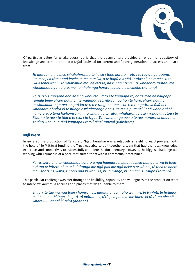

<span id="page-34-0"></span>Of particular value for whakarauora reo is that the documentary provides an enduring repository of knowledge and te mita o te reo o Ngāti Tarāwhai for current and future generations to access and learn from.

*Tā mātau nei he mea whakahirahira te kawe i taua kōrero i roto i te reo o ngā tīpuna, i te mea, i a rātau ngā koeke te reo a te iwi, a te hapū o Ngāti Tarāwhai, he rereke ki te iwi o tēnei wahi. Ka whakahua mai he rereke, nā runga i tēnā, i te whakaaro tuatahi me whakamau ngā kōrero, me kohikohi ngā kōrero kia kore e memeha (Kaitono)*

*Ko te reo e rangona ana ka tino whai reo i roto i te kaupapa rā, nā te mea he kaupapa rūmaki tēnei ehara noaiho i te wānanga reo, ehara noaiho i te kura, ehara noaiho i te whakaakronga reo, engari ko te reo e rangona ana,… he reo rangatira ki ōkū nei whakaaro nōreira ki te hunga e whakarongo ana ki te reo e puta nei i ngā waha o tēnā kaikōrero, o tēnā kaikōrero ka tino whai hua tā rātou whakarongo atu i rongo ai rātou i te Māori o te reo i te tika o te reo, i te Ngāti Tarāwhaitanga pea o te reo, nōreira ki ahau nei ka tino whai hua tērā kaupapa i roto i tēnei rauemi (Kaikōrero)*

## **Ngā Wero**

In general, the production of Te Kura o Ngāti Tarāwhai was a relatively straight forward process. With the help of Te Mātāwai funding the Trust was able to pull together a team that had the local knowledge, expertise, and connectivity to successfully complete the documentary. However, the biggest challenge was working with kaumātua at a pace that suited them within contractual timeframes.

*Koirā, wero ana te whakamau kōrero a ngā kaumātua, kuia i te mea nuinga te wā tē taea e rātau te kōrero nā te māuiuitanga me ngā piki me ngā heke o te wā nei, tē taea te haere mai, kāore he waka, e noho ana ki wāhi kē, ki Tauranga, ki Tāmaki, ki Taupō (Kaitono).* 

This particular challenge was met through the flexibility, capability and willingness of the production team to interview kaumātua at times and places that was suitable to them.

*Engari, tē tae mā ngā take i kōrerohia… māuiuitanga, noho wāhi kē, te tawhiti, te hokinga mai ki te haukāinga. Engari, tā mātau nei, tērā pea pai ake me haere ki tō rātau ake nā whare uiui atu ai ki reira (Kaitono)*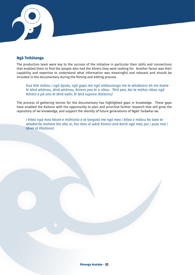<span id="page-35-0"></span>

## **Ngā Toitūtanga**

The production team were key to the success of the initiative in particular their skills and connections that enabled them to find the people who had the kōrero they were looking for. Another factor was their capability and expertise to understand what information was meaningful and relevant and should be included in the documentary during the filming and editing process.

*Kua kite mātau i ngā āputa, ngā gaps mō ngā mātauranga me te whakaaro eh me haere ki tēnā whānau, tēnā whānau, kōrero pea ki a rātau. Tērā pea, kei te mōhio rātau ngā kōrero e pā ana ki tēnā wahi, ki tērā tupuna (Kaitono)*

The process of gathering stories for the documentary has highlighted gaps in knowledge. These gaps have enabled the Kaitono with the opportunity to plan and prioritise further research that will grow the repository of iwi knowledge, and support the identity of future generations of Ngāti Tarāwhai iwi.

*I kitea ngā mea kāore e mōhiotia e te tangata me ngā mea i kitea e mātou ka taea te whakarite mahere kia ako ai, kia mau ai wērā kōrero and koirā ngā mea pai i puta mai i tēnei rā (Kaitono)*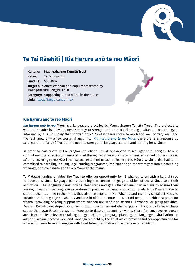

## **Te Tai Rāwhiti | Kia Haruru anō te reo Māori**

**Kaitono: Maungaharuru Tangitū Trust Kāhui:** Te Tai Rāwhiti **Funding:** \$50-100k **Target audience:** Whānau and hapū represented by Maungaharuru Tangitū Trust **Category:** Supporting te reo Māori in the home **Link:** <https://tangoio.maori.nz/>



#### **Kia haruru anō te reo Māori**

*Kia haruru anō te reo* Māori is a language project led by Maungaharuru Tangitū Trust. The project sits within a broader iwi development strategy to strengthen te reo Māori amongst whānau. The strategy is informed by a Trust survey that showed only 13% of whānau spoke te reo Māori well or very well, and the rest knew only a few words, if anything. *Kia haruru anō te reo Māori* therefore is a response by Maungaharuru Tangitū Trust to the need to strengthen language, culture and identity for whānau.

In order to participate in the programme whānau must whakapapa to Maungaharuru Tangitū; have a commitment to te reo Māori demonstrated through whānau either raising tamariki or mokopuna in te reo Māori or learning te reo Māori themselves; or an enthusiasm to learn te reo Māori. Whānau also had to be committed to enrolling in a language learning programme; implementing a reo strategy at home; attending wānanga; and contributing to te reo Māori at the marae.

Te Mātāwai funding enabled the Trust to offer an opportunity for 15 whānau to sit with a kaiārahi reo to develop whānau language plans outlining the current language position of the whānau and their aspiration. The language plans include clear steps and goals that whānau can achieve to ensure their journey towards their language aspirations is positive. Whānau are visited regularly by Kaiārahi Reo to support their learning in the home, they also participate in Hui Whānau and monthly social activities to broaden their language vocabulary and use in different contexts. Kaiārahi Reo are a critical support for whānau providing ongoing support where whānau are unable to attend Hui Whānau or group activities. Kaiārahi Reo also developed resources to support activities and whānau plans. This group of whānau have set up their own Facebook page to keep up to date on upcoming events, share fun language resources and share articles relevant to raising bilingual children, language planning and language revitalisation. In addition, whānau access weekend wānanga reo held by the Trust which provides further opportunities for whānau to learn from and engage with local tutors, kaumātua and experts in te reo Māori.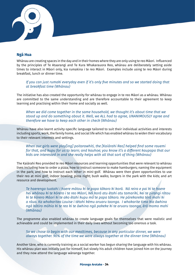

#### **Ngā Hua**

Whānau are creating spaces in the day and in their homes where they are only using te reo Māori. Influenced by the principles of Te Ataarangi and Te Kura Whakarauora Reo, whānau are deliberately setting aside times to interact in Māori only, kia rumakina i te reo Māori. Examples include using te reo Māori during breakfast, lunch or dinner time.

#### *If you can just rumaki everyday even if it's only five minutes and so we started doing that at breakfast time (Whānau)*

The initiative has also created the opportunity for whānau to engage in te reo Māori as a whānau. Whānau are committed to the same understanding and are therefore accountable to their agreement to keep learning and practising within their home and socially as well.

*When we did come together in the same household, we thought it's about time that we stood up and do something about it. Well, we ALL had to agree, UNANIMOUSLY agree and therefore we have to keep each other in check (Whānau)*

Whānau have also learnt activity-specific language tailored to suit their individual activities and interests including sports, work, the family home, and social life which has enabled whānau to widen their vocabulary to their relevant interests and settings.

*When our girls were play[ing] poitarawhiti, the [Kaiārahi Reo] helped find some rauemi for that, and kupu for us to learn; and kauhoe; you know it's a different kaupapa that our kids are interested in and she really helps with all that sort of thing (Whānau)*

The Kaiārahi Reo provided te reo Māori resources and learning opportunities that were relevant to whānau lives including how to order a pizza; how to instruct someone to make hamburgers; naming the equipment in the park; and how to instruct each other in mini-golf. Whānau were then given opportunities to use their reo at mini golf; indoor bowling; pizza night; bush walks; burgers in the park with the kids; and art resource and development.

*Te haerenga tuatahi i haere mātou ki te papa tākaro ki korā. Nā reira e pai ki te haere hei whānau ki te kōrero i te reo Māori, kei korā atu ētahi atu tamariki, kei te pīrangi rātou ki te kōrero Māori ki te ako ētahi kupu mō te papa tākaro. He pārekareka tērā mahi ki a rāua. Ka whakaritea Louise i tētahi kēmu aruaru taonga. I whakarite tima kia āwhina ngā kōtiro mōhio ki te reo ki te āwhina ngā pakeke ki te aruaru taonga, ērā momo mahi (Whānau)*

The programme also enabled whānau to create language goals for themselves that were realistic and achievable and could be implemented in their daily lives without becoming too onerous a task.

*So we chose to begin with our mealtimes, because in any particular dinner, we were always together. 90% of the time we were always together at the dinner time (Whānau)*

Another tāne, who is currently training as a social worker has begun sharing the language with his whānau. His whānau plan was initially just for himself, but slowly his adult children have joined him on the journey and they now attend the language wānanga together.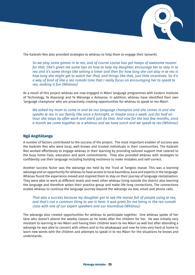

The Kaiārahi Reo also provided strategies to whānau to help them to engage their tamariki.

*So we play some games in te reo, and of course Louise has got heaps of awesome rauemi for that. She's given me some tips on how to help my daughter, encourage her to stay in te reo and it's some things like setting a timer and then for how long she can stay in te reo is how long she might get to watch her iPad, and things like that, just little incentives. So it's a way of kind of like a reo rumaki time that I really focus on encouraging her to speak te reo, making it fun (Whānau)*

As a result of this project whānau are now engaged in Māori language programmes with Eastern Institute of Technology, Te Ataarangi and Te Wānanga o Aotearoa. In addition, whānau have identified their own 'language champions' who are proactively creating opportunities for whānau to speak te reo Māori.

*We asked my mum to come in and be our language champion and she comes in and she speaks te reo in our family like once a fortnight, or maybe once a week. Just for half an hour she stops by after work and she'll just do that. And now for the last few months, once a month we come together as a whānau and we have lunch and we speak te reo (Whānau)*

#### **Ngā Angitūtanga**

A number of factors contributed to the success of the project. The most important enabler of success was the Kaiārahi Reo who were local, well-known and trusted individuals in their communities. The Kaiārahi Reo worked effortlessly to engage whānau in their learning by providing tailored support that catered to the busy home lives, education and work commitments. They also provided whānau with strategies to confidently use their language including building resilience to make mistakes and self-correct.

Another success factor was the wānanga reo held by the Trust at Tangoio marae. This was a learning wānanga and an opportunity for whānau to have access to local kaumātua, kuia and experts in the language. Whānau found the experience moved and inspired them to stay on their journey of language revitalisation. They were able to work at different levels and meet other whānau living outside the district also learning the language and therefore widen their practice group and make life-long connections. The connections enable whānau to continue the language journey beyond the wānanga via text, email and phone calls.

#### *That was a success because my daughter got to see the marae full of people using te reo, and that's not a common thing to see in here. It was great for me being in the reo rumaki class with one of our expert speakers and our kaumātua (Whānau)*

The wānanga also created opportunities for whānau to participate together. One whānau spoke of her tāne who doesn't attend the weekly classes as he looks after the children for her. He was initially very resistant to learning te reo Māori and having their children learn te reo Māori as well but after attending a wānanga he was able to connect with others and to his whakapapa and now he tries very hard at home to learn new words with the children and attempts to speak in te reo Māori for the situations he knows and understands.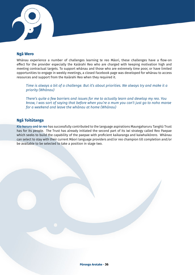### **Ngā Wero**

Whānau experience a number of challenges learning te reo Māori, these challenges have a flow-on effect for the provider especially the Kaiārahi Reo who are charged with keeping motivation high and meeting contractual targets. To support whānau and those who are extremely time poor, or have limited opportunities to engage in weekly meetings, a closed Facebook page was developed for whānau to access resources and support from the Kaiārahi Reo when they required it.

*Time is always a bit of a challenge. But it's about priorities. We always try and make it a priority (Whānau)*

*There's quite a few barriers and issues for me to actually learn and develop my reo. You know, I was sort of saying that before when you're a mum you can't just go to noho marae for a weekend and leave the whānau at home (Whānau)*

#### **Ngā Toitūtanga**

*Kia haruru anō te reo* has successfully contributed to the language aspirations Maungaharuru Tangitū Trust has for its people. The Trust has already initiated the second part of its iwi strategy called Reo Paepae which seeks to build the capability of the paepae with proficient kaikaranga and kaiwhaikōrero. Whānau can select to stay with their current Māori language providers and/or reo champion till completion and/or be available to be selected to take a position in stage two.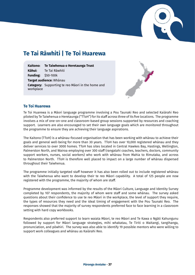

## **Te Tai Rāwhiti | Te Toi Huarewa**

**Kaitono: Te Taiwhenua o Heretaunga Trust Kāhui:** Te Tai Rāwhiti **Funding:** \$50-100k **Target audience:** Whānau **Category:** Supporting te reo Māori in the home and workplace



#### **Te Toi Huarewa**

Te Toi Huarewa is a Māori language programme involving a Pou Taunaki Reo and selected Kaiārahi Reo piloted by Te Taiwhenua o Heretaunga ("TToH") for its staff across three of its five locations. The programme involves a mix of one-on-one and classroom-based group sessions supported by resources and coaching support. Learners are also encouraged to set their own language goals which are monitored throughout the programme to ensure they are achieving their language aspirations.

The Kaitono (TToH) is a whānau-focused organisation that has been working with whānau to achieve their goals and general well-being for more than 30 years. TToH has over 10,000 registered whānau and they deliver services to over 3000 homes. TToH has sites located in Central Hawkes Bay, Hastings, Wellington, Palmerston North, and Wairoa employing over 300 staff (rangatahi coaches, teachers, doctors, community support workers, nurses, social workers) who work with whānau from Mahia to Rimutaka, and across to Palmerston North. TToH is therefore well placed to impact on a large number of whānau dispersed throughout their Taiwhenua.

The programme initially targeted staff however it has also been rolled out to include registered whānau with the Taiwhenua who want to develop their te reo Māori capability. A total of 125 people are now registered with the programme, the majority of whom are staff.

Programme development was informed by the results of the Māori Culture, Language and Identity Survey completed by 107 respondents, the majority of whom were staff and some whānau. The survey asked questions about their confidence to use te reo Māori in the workplace, the level of support they require, the types of resources they need and the ideal timing of engagement with the Pou Taunaki Reo. The responses showed that the majority of survey respondents preferred face to face learning in a classroom setting with hard copy workbooks.

Respondents also preferred support to learn waiata Māori, te reo Māori and Te Kawa o Ngāti Kahungunu followed by support for Māori language strategies, mihi whakatau, Te Tiriti o Waitangi, tangihanga, pronunciation, and pōwhiri. The survey was also able to identify 19 possible mentors who were willing to support work colleagues and whānau as Kaiārahi Reo.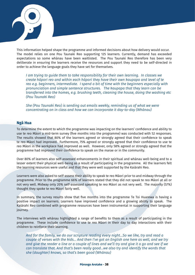

This information helped shape the programme and informed decisions about how delivery would occur. The model relies on one Pou Taunaki Reo supporting 125 learners. Currently, demand has exceeded expectations so some whānau have been waitlisted. The Pou Taunaki Reo therefore has been very deliberate in ensuring the learners receive the resources and support they need to be self-directed in order to achieve the language goals they have set for themselves.

*I am trying to guide them to take responsibility for their own learning. In classes we create hāpori reo and within each hāpori they have their own kaupapa and level of te reo e.g. beginners, intermediate. I spend a bit of time with the beginners especially with pronunciation and simple sentence structures. The kaupapa that they learn can be transferred into the homes, e.g. brushing teeth, cleaning the house, doing the washing etc (Pou Taunaki Reo)*

*She (Pou Taunaki Reo) is sending out emails weekly, reminding us of what we were concentrating on in class and how we can incorporate it day-to-day (Whānau)*

#### **Ngā Hua**

To determine the extent to which the programme was impacting on the learners' confidence and ability to use te reo Māori a mid-term survey (five months into the programme) was conducted with 52 responses. The results showed that 80% of the learners agreed or strongly agreed that their confidence to speak te reo Māori had improved. Furthermore, 75% agreed or strongly agreed that their confidence to use te reo Māori in the workplace had improved as well. However, only 58% agreed or strongly agreed that the programme had improved their confidence to speak on the marae or in the community.

Over 80% of learners also self-assessed enhancements in their spiritual and whānau well-being and to a lesser extent their physical well-being as a result of participating in the programme. All the learners felt the learning resources were useful and that they were well supported by the Kaiārahi Reo.

Learners were also asked to self-assess their ability to speak te reo Māori prior to and midway through the programme. Prior to the programme 66% of learners stated that they did not speak te reo Māori at all or not very well. Midway only 20% self-assessed speaking te reo Māori as not very well. The majority (57%) thought they spoke te reo Māori fairly well.

In summary, the survey results show that five months into the programme Te Toi Huarewa is having a positive impact on learners. Learners have improved confidence and a growing ability to speak. The Kaiārahi Reo combined with programme resources have been instrumental in supporting their language journey.

The interviews with whānau highlighted a range of benefits to them as a result of participating in the programme. These include confidence to use te reo Māori in their day to day interactions with their children to reinforce their learning.

*And for the family, we do our scripture reading every night…So we like, try and read a couple of verses with the kids… And then I've got an English one here as well, and we try and give the reader a line or a couple of lines and we'll try and give it a go and see if we can translate that. And that's been really good…we also try and identify the words that she (daughter) knows, so that's been good (Whānau)*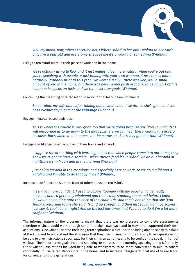

*Well my moko, now, when I Facetime her, I kōrero Māori to her and I waiata to her. She's only five weeks old and every time she sees me it's a waiata or something (Whānau)*

Using te reo Māori more in their place of work and in the home.

*We're actually using te Reo, and it just makes it feel more natural when you're out and you're speaking with people or just talking with your own whānau, it just comes more naturally. Probably prior to this yeah, we weren't really... there was Reo, well a small amount of Reo in the home, but there was never a real push or focus, so being part of this kaupapa keeps us on task, and we try to set new goals (Whānau)*

Continuing their learning of te reo Māori in more formal learning environments.

*So our plan, my wife and I after talking about what should we do…so she's gone and she does Wednesday nights at the Wānanga (Whānau)*

Engage in marae-based activities.

*This is where the course is very good too that we're doing because she (Pou Taunaki Reo) will encourage us to go down to the marae…where we can hear these waiata, this kōrero; because that's where it all happens on the marae, eh. She's very good at that (Whānau)*

Engaging in tikanga based activities in their home and at work.

*I* suppose the other thing with learning, too, is that when people come into our home, they *know we're gonna have a karakia… when there's food it's in Māori. We do our karakia at nighttime it's in Māori and in the morning (Whānau)*

*Just doing karakia in the mornings, and especially here at work, so we do a mihi and a karakia and I'm able to do that by myself (Whānau)*

Increased confidence to stand in front of others to use te reo Māori.

*I feel a lot more confident. I used to always flounder with my pepeha, I'd get really nervous, and I'd get really whakamā and then I'd be standing there and before I knew it I would be holding onto the back of the chair…'Oh.' And that's one thing that she (Pou Taunaki Reo) said to me she said, "stand up straight and then just say it; don't be scared just say it, you'll be all right". And so the last few times that I've had to do it I'm a lot more confident (Whānau)*

The informal nature of the programme meant that there was no pressure to complete assessments therefore whānau could work through content at their own pace and in ways that supported their own aspirations. One whānau shared their long term aspirations which included being able to speak to Kaiako at the kura and to understand the strategies that they use in kura; to not be too shy to ask questions; to be able to give instructions specifically for their children at home; and to be confident to speak in front of whānau. Their short-term goals included spending 10 minutes in the morning speaking te reo Māori only. Other whānau aspirations included being able to whaikōrero; to be more conversant; to mihi to others confidently; to use te reo Māori more in the home; and to increase intergenerational use of te reo Māori for current and future generations.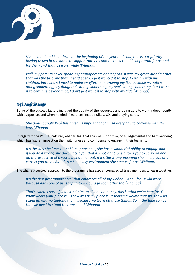*My husband and I sat down at the beginning of the year and said, this is our priority, having te Reo in the home to support our kids and to know that it's important for us and for them and that it's worthwhile (Whānau)*

*Well, my parents never spoke, my grandparents don't speak. It was my great-grandmother that was the last one that I heard speak. I just wanted it to stop. Certainly with my children, but I know I need to make an effort in improving my Reo because my wife is doing something, my daughter's doing something, my son's doing something. But I want it to continue beyond that, I don't just want it to stop with my kids (Whānau)*

#### **Ngā Angitūtanga**

Some of the success factors included the quality of the resources and being able to work independently with support as and when needed. Resources include rākau, CDs and playing cards.

*She (Pou Taunaki Reo) has given us kupu that I can use every day to converse with the kids (Whānau)*

In regard to the Pou Taunaki reo, whānau feel that she was supportive, non-judgemental and hard-working which has had an impact on their willingness and confidence to engage in their learning.

*It's the way she (Pou Taunaki Reo) presents, she has a wonderful ability to engage and if you do it wrong she doesn't tell you that it's not right. She allows you to carry on and do it irrespective of a vowel being in or out; if it's the wrong meaning she'll help you and correct you there. But it's such a lovely environment she creates for us (Whānau)*

The whānau-centred approach to the programme has also encouraged whānau members to learn together.

*It's the first programme I feel that embraces all of my whānau. And I feel it will work because each one of us is trying to encourage each other too (Whānau)*

*That's where I sort of, like, wind him up, 'Come on honey, this is what we're here for. You know where your place is, I know where my place is'. If there's a waiata that we know we stand up and we tautoko them, because we learn all these things. So, if the time comes that we need to stand then we stand (Whānau)*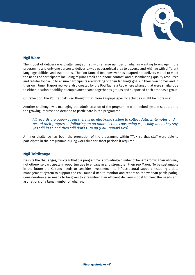

#### **Ngā Wero**

The model of delivery was challenging at first, with a large number of whānau wanting to engage in the programme and only one person to deliver; a wide geographical area to traverse and whānau with different language abilities and aspirations. The Pou Taunaki Reo however has adapted her delivery model to meet the needs of participants including regular email and phone contact; and disseminating quality resources and regular follow up to ensure participants are working on their language goals in their own homes and in their own time. Hāpori reo were also created by the Pou Taunaki Reo where whānau that were similar due to either location or ability or employment came together as groups and supported each other as a group.

On reflection, the Pou Taunaki Reo thought that more kaupapa-specific activities might be more useful.

Another challenge was managing the administration of the programme with limited system support and the growing interest and demand to participate in the programme.

*All records are paper-based there is no electronic system to collect data, write notes and record their progress…. following up on tauira is time consuming especially when they say yes still keen and then still don't turn up (Pou Taunaki Reo)*

A minor challenge has been the promotion of the programme within TToH so that staff were able to participate in the programme during work time for short periods if required.

#### **Ngā Toitūtanga**

Despite the challenges, it is clear that the programme is providing a number of benefits for whānau who may not otherwise participate in opportunities to engage in and strengthen their reo Māori. To be sustainable in the future the Kaitono needs to consider investment into infrastructural support including a data management system to support the Pou Taunaki Reo to monitor and report on the whānau participating. Consideration also needs to be given to streamlining an efficient delivery model to meet the needs and aspirations of a large number of whānau.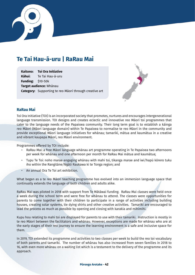

## **Te Tai Hau-ā-uru | RaRau Mai**

**Kaitono: Toi Ora Initiative Kāhui:** Te Tai Hau-ā-uru **Funding:** \$10-50k **Target audience:** Whānau **Category:** Supporting te reo Māori through creative art



#### **RaRau Mai**

Toi Ora Initiative (TOI) is an incorporated society that promotes, nurtures and encourages intergenerational language transmission. TOI designs and creates eclectic and innovative reo Māori toi programmes that cater to the language needs of the Papaioea community. Their long term goal is to establish a kāinga reo Māori (Māori language domain) within Te Papaioea to normalise te reo Māori in the community and provide exceptional Māori language initiatives for whānau; tamariki, mātua and kaumātua in a creative and vibrant kaupapa Māori, reo Māori environment.

Programmes offered by TOI include:

- RaRau Mai: a free Māori language whānau art programme operating in Te Papaioea two afternoons per week for whānau and one afternoon per month for RaRau Mai mātua and kaumātua;
- Tupu Te Toi: noho marae engaging whānau with mahi toi, tikanga marae and iwi/hapū kōrero tuku iho within the Rangitāne/Ngāti Raukawa ki te Tonga region; and
- An annual Ora Te Toi art exhibition.

What began as a te reo Māori teaching programme has evolved into an immersion language space that continually extends the language of both children and adults alike.

RaRau Mai was piloted in 2018 with support from Te Mātāwai funding. RaRau Mai classes were held once a week during the school term and were free for whānau to attend. The classes were opportunities for parents to come together with their children to participate in a range of activities including building houses, creating solar systems, tie dying shirts and other creative activities. Tamariki are encouraged to lead the process as much as possible by opening and closing with karakia and mihimihi.

Kupu hou relating to mahi toi are displayed for parents to use with their tamariki. Instruction is mostly in te reo Māori between the facilitators and whānau. However, exceptions are made for whānau who are at the early stages of their reo journey to ensure the learning environment is a safe and inclusive space for them.

In 2019, TOI extended its programme and activities to two classes per week to build the reo toi vocabulary of both parents and tamariki. The number of whānau has also increased from seven families in 2018 to 16, with even more whānau on a waiting list which is a testament to the delivery of the programme and its approach.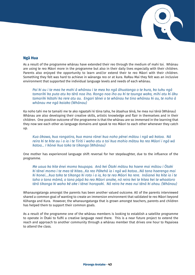

#### **Ngā Hua**

As a result of the programme whānau have extended their reo through the medium of mahi toi. Whānau are using te reo Māori more in the programme but also in their daily lives especially with their children. Parents also enjoyed the opportunity to learn and/or extend their te reo Māori with their children. Something they felt was hard to achieve in wānanga reo or at kura. RaRau Mai they felt was an inclusive environment that supported the individual language levels and needs of each whānau.

*Pai ki au i te mea he mahi ā whānau i te mea ko ngā āhuatanga o te kura, ka tuku ngā tamariki ka puta atu ko tērā noa iho. Rongo noa iho au ki te taunga waka, mihi atu ki āku tamariki kātahi ka rere atu au. Engari tēnei o te whānau he tino whānau ki au, te noho ā whānau me ngā kaiako (Whānau)*

Ka noho tahi me te tamaiti me te ako ngaatahi ki tōna taha, he ātaahua tēnā, he mea nui tēnā (Whānau) Whānau are also developing their creative skills, artistic knowledge and flair in themselves and in their children. One positive outcome of the programme is that the whānau are so immersed in the learning that they now see each other as language domains and speak te reo Māori to each other whenever they catch up.

*Kua ōkawa, kua rangatira, kua mana rānei kua noho pēnei mātou i ngā wā katoa. Nā reira ki te kite au i a ia i te Tiriti i waho atu o toi kua mohio mātou ka reo Māori i ngā wā katoa… I kōnei kua toka te tikanga (Whānau)*

One mother has experienced language shift reversal for her stepdaughter, due to the influence of the programme.

*Me uaua ka kite ēnei momo kaupapa. Anā kei Ōtaki mātou ka haere mai mātou i Ōtaki ki tēnei momo i te mea tē kitea…Ka reo Pākehā ia i ngā wā katoa…Nā tana haerenga mai ki konei….kua toka te tikanga ki roto i a ia, ko te reo Māori ka rere. Ināianei ka kite ia i te taha o tana māmā, o tana pāpā ka reo Māori anake, nō reira kei te kitea kei te whaatoro tērā tikanga ki waho kē ake i tēnei horopaki. Nō reira he mea nui tēnā ki ahau. (Whānau)*

Whanaungatanga amongst the parents has been another valued outcome. All of the parents interviewed shared a common goal of wanting to create an immersion environment that validated te reo Māori beyond Kōhanga and Kura. However, the whanaungatanga that is grown amongst teachers, parents and children has helped them to support their common goals.

As a result of the programme one of the whānau members is looking to establish a satellite programme to operate in Ōtaki to fulfil a creative language need there. This is a near future project to extend the reach and approach to another community through a whānau member that drives one hour to Papaioea to attend the class.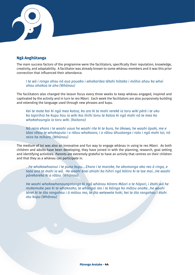## **Ngā Angitūtanga**

The main success factors of the programme were the facilitators, specifically their reputation, knowledge, creativity, and adaptability. A facilitator was already known to some whānau members and it was this prior connection that influenced their attendance.

#### *I te wā i rongo ahau nā aua pouako i whakaritea tētahi hōtaka i mōhio ahau ka whai ahau ahakoa te aha (Whānau)*

The facilitators also changed the lesson focus every three weeks to keep whānau engaged, inspired and captivated by the activity and in turn te reo Māori. Each week the facilitators are also purposively building and extending the language used through new phrases and kupu.

*Kei te mate kai ki ngā mea katoa, ka aro ki te mahi rerekē ia toru wiki pērā i te uku ka tapirihia he kupu hou ia wiki kia ihiihi tonu te katoa ki ngā mahi nā te mea ka whakahoungia ia toru wiki. (Kaitono)*

*Nō reira ehara i te waahi uaua he waahi rite ki te kura, he ōkawa, he waahi ōpaki, me e tāea rātou te whakaputa i o rātou whakaaro, i o rātou āhuatanga i roto i ngā mahi toi, nō reira he miharo. (Whānau)*

The medium of toi was also an innovative and fun way to engage whānau in using te reo Māori. As both children and adults have been developing, they have joined in with the planning, research, goal setting and identifying activities. Parents are extremely grateful to have an activity that centres on their children and that they as a whānau can participate in.

*…he whakawhaanui i te puna kupu….Ehara i te maroke, he akomanga ako reo ā ringa, e taea ana te mahi ia wā. He waahi ēnei ahiahi ka hihiri ngā kōtiro ki te tae mai…He waahi pārekareka ki a rātou. (Whānau)*

*He waahi whakawhanaungatanga ki ngā whānau kōrero Māori o te hāpori, i ētahi wā he mokemoke pea ki te whakaako, te whāngai reo i te kāinga ko mātou anake…he waahi tēnei ki te āta rangahau i ā mātou reo, te āta wetewete hoki, kei te āta rangahau i ētahi atu kupu (Whānau)*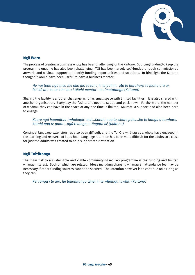

#### **Ngā Wero**

The process of creating a business entity has been challenging for the Kaitono. Sourcing funding to keep the programme ongoing has also been challenging. TOI has been largely self-funded through commissioned artwork, and whānau support to identify funding opportunities and solutions. In hindsight the Kaitono thought it would have been useful to have a business mentor.

*He nui tonu ngā mea me ako mo te taha ki te pakihi. Mā te huruhuru te manu ora ai. Pai kē atu ko te kimi atu i tētehi mentor i te tīmatatanga (Kaitono)*

Sharing the facility is another challenge as it has small space with limited facilities. It is also shared with another organisation. Every day the facilitators need to set up and pack down. Furthermore, the number of whānau they can have in the space at any one time is limited. Kaumātua support had also been hard to engage.

*Kāore ngā kaumātua i whakapiri mai…Kotahi noa te whare paku…ko te hanga o te whare, kotahi noa te puoto…ngā tikanga o tāngata kē (Kaitono)*

Continual language extension has also been difficult, and the Toi Ora whānau as a whole have engaged in the learning and research of kupu hou. Language retention has been more difficult for the adults so a class for just the adults was created to help support their retention.

#### **Ngā Toitūtanga**

The main risk to a sustainable and viable community-based reo programme is the funding and limited whānau interest. Both of which are related. Ideas including charging whānau an attendance fee may be necessary if other funding sources cannot be secured. The intention however is to continue on as long as they can.

*Kei runga i te ara, he takahitanga tēnei ki te whainga tawhiti (Kaitono)*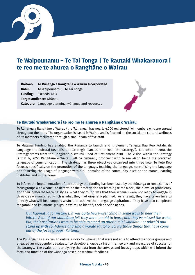

## **Te Waipounamu – Te Tai Tonga | Te Rautaki Whakarauora i te reo me te ahurea o Rangitāne o Wairau**

**Kaitono: Te Rūnanga a Rangitāne o Wairau Incorporated Kāhui:** Te Waipounamu – Te Tai Tonga **Funding:** Exceeds 100k **Target audience:** Whānau **Category:** Language planning, wānanga and resources



#### **Te Rautaki Whakarauora i te reo me te ahurea o Rangitāne o Wairau**

Te Rūnanga a Rangitāne o Wairau (the 'Rūnanga') has nearly 4,000 registered iwi members who are spread throughout the rohe. The organisation is based in Wairau and is focused on the social and cultural wellness of its members facilitated through a small team of five staff.

Te Mātāwai funding has enabled the Rūnanga to launch and implement Tangata Rau Reo Kotahi, its Language and Cultural Revitalisation Strategic Plan, 2018 to 2050 (the 'Strategy'). Launched in 2018, the Strategy stems from the Rangitāne o Wairau Deed of Settlement 2010. The vision within the Strategy is that by 2050 Rangitāne o Wairau will be culturally proficient with te reo Māori being the preferred language of communication. The strategy has three objectives organised into three kete. Te Kete Reo focuses specifically on the promotion of the language, teaching the language, normalising the language and fostering the usage of language within all domains of the community, such as the marae, learning institutes and in the home.

To inform the implementation of the strategy the funding has been used by the Rūnanga to run a series of focus groups with whānau to determine their motivation for learning te reo Māori, their level of proficiency, and their preferred learning styles. What they found was that their whānau were not ready to engage in three-day wānanga reo which is what they had originally planned. As a result, they have taken time to identify what will best support whānau to achieve their language aspirations. They have also completed rangatahi and kaumātua groups in Wairau to identify their specific needs.

*Our kaumātua for instance, it was quite heart-wrenching in some ways to hear their kōrero. A lot of our kaumātua felt they were too old to learn, and they've missed the waka. But, their aspirations were to be able to stand up after a mihi whakatau or pōwhiri and stand up with confidence and sing a waiata tautoko. So, it's those things that have come out of the focus groups (Kaitono)*

The Rūnanga has also run an online survey for whānau that were not able to attend the focus groups and engaged an independent evaluator to develop a kaupapa Māori framework and measures of success for the strategy. The evaluator is analysing the data from the surveys and focus groups which will inform the form and function of the wānanga based on whānau feedback.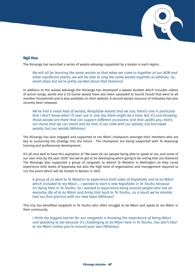

#### **Ngā Hua**

The Rūnanga has launched a series of waiata wānanga supported by a kaiako in each region.

*We will all be learning the same waiata so that when we come to together at our AGM and other significant events, we will be able to sing the same waiata together as whānau. So, small steps but we're pretty excited about that (Kaitono)*

In addition to the waiata wānanga the Rūnanga has developed a waiata booklet which includes videos of action songs, words and a CD (some waiata have also been uploaded to Sound Cloud) that went to all member households and is also available on their website. A second waiata resource of mōteatea has also recently been released.

*We've had a small kete of waiata, Rangitāne waiata that we use; there's one in particular that I don't know when I'll ever use it; one day there might be a time. But it's just knowing those waiata are there that can support different occasions; and that uplifts you, that's our mana that we can stand and do that in our rohe with our waiata, not borrowed waiata, but our waiata (Whānau)*

The Rūnanga has also engaged and supported te reo Māori champions amongst their members who are key to sustaining the strategy into the future. The champions are being supported with Te Ataarangi training and professional development.

It's all very well to have this aspiration of "We want all our people being able to speak te reo, and some of our own mita by the year 2030" but we've got to be developing who's going to be rolling that out (Kaitono) The Rūnanga also supported a group of rangatahi to attend Te Matatini in Wellington so they could experience elite levels of kapahaka but also the high level of organisation and management required to run the event which will be hosted in Nelson in 2025.

*A group of us went to Te Matatini to experience both sides of kapahaka and te ao Māori which included te reo Māori… I wanted to start a new kapahaka in Te Tauihu because it's dying here in Te Tauihu. So I wanted to experience being around people who live an everyday life of te ao Māori and bring that back to Te Tauihu…as a result we've already had our first practice with our new kapa (Whānau)*

This trip has benefited rangatahi in Te Tauihu who often struggle to be Māori and speak te reo Māori in their community.

*I think the biggest barrier for our rangatahi is knowing the importance of being Māori and speaking te reo because it's challenging to be Māori here in Te Tauihu. You don't hear te reo Māori unless you're around your own (Whānau)*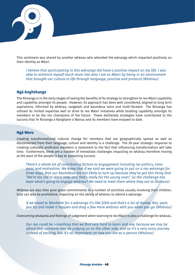

This sentiment was shared by another whānau who attended the wānanga which impacted positively on their identity as Māori.

*I believe that participating in this wānanga did have a positive impact on my life. I was able to entrench myself much more into who I am as Māori by being in an environment that brought our culture to life through language, practise and protocol (Whānau)*

#### **Ngā Angitūtanga**

The Rūnanga is in the early stages of seeing the benefits of its strategy to strengthen te reo Māori capability and capability amongst its people. However, its approach has been well considered, aligned to long term aspirations, informed by whānau, rangatahi and kaumātua voice and multi-faceted. The Rūnanga has utilised its limited expertise well to drive te reo Māori initiatives while building capability amongst its members to be the reo champions of the future. These deliberate strategies have contributed to the success that Te Rūnanga a Rangitane o Wairau and its members have enjoyed to date.

#### **Ngā Wero**

Creating transformational cultural change for members that are geographically spread as well as disconnected from their language, culture and identity is a challenge. The 30-year strategic response to creating culturally proficient members is testament to the fact that influencing transformation will take time. Furthermore, there are a number of immediate challenges impacting on whānau therefore moving at the pace of the people is key to sustaining success.

*There's a whole lot of contributing factors to engagement including iwi politics, timepoor, and motivation. We knew that if we said we were going to put on a reo wānanga for three days, that our kaumātua are not likely to turn up because they've got this thing that "We're too old to learn now, and that's really for the young ones". So the challenge has been what's going to engage whānau? We need to meet them where they are at (Kaitono)*

Whānau are also time poor given commitments to a number of activities usually involving their children. Cost can also be prohibitive, impacting on the ability of whānau to attend a wānanga.

*If we travel to Blenheim for a wānanga it's like \$200 and that's a lot of money. But, yeah, you try and make it happen and drag a few more whānau with you when you go (Whānau)*

Overcoming whakamā and feelings of judgement when learning te reo Māori is also a challenge for whānau.

*Our reo could be something that we find very hard to learn and use, because we may be afraid that someone may be judging us on the other side, and so it's a very scary journey instead of exciting, but it's all dependent on how you are as a person (Whānau)*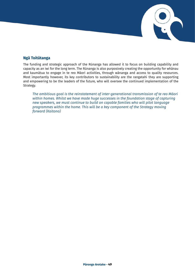

#### **Ngā Toitūtanga**

The funding and strategic approach of the Rūnanga has allowed it to focus on building capability and capacity as an iwi for the long term. The Rūnanga is also purposively creating the opportunity for whānau and kaumātua to engage in te reo Māori activities, through wānanga and access to quality resources. Most importantly however, its key contributors to sustainability are the rangatahi they are supporting and empowering to be the leaders of the future, who will oversee the continued implementation of the Strategy.

*The ambitious goal is the reinstatement of inter-generational transmission of te reo Māori within homes. Whilst we have made huge successes in the foundation stage of capturing new speakers, we must continue to build on capable families who will pilot language programmes within the home. This will be a key component of the Strategy moving forward (Kaitono)*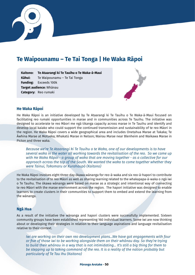

## **Te Waipounamu – Te Tai Tonga | He Waka Rāpoi**

**Kaitono: Te Ataarangi ki Te Tauihu o Te Waka-ā-Maui Kāhui:** Te Waipounamu – Te Tai Tonga **Funding:** Exceeds 100k **Target audience:** Whānau **Category:** Reo rumaki



#### **He Waka Rāpoi**

He Waka Rāpoi is an initiative developed by Te Ataarangi ki Te Tauihu o Te Waka-ā-Maui focused on facilitating reo rumaki opportunities in marae and in communities across Te Tauihu. The initiative was designed to accelerate te reo Māori me ngā tikanga capacity across marae in Te Tauihu and identify and develop local kaiako who could support the continued transmission and sustainability of te reo Māori in the region. He Waka Rāpoi covers a wide geographical area and includes Onetahua Marae at Takaka; Te Āwhina Marae at Motueka; Whakatū Marae in Nelson; Wairau Marae near Blenheim and Waikawa Marae in Picton and three waka.

*Because we're Te Ataarangi ki Te Tauihu o te Waka, one of our developments is to have several waka in the water all working towards the revitalisation of the reo. So we came up with He Waka Rāpoi - a group of waka that are moving together - as a collective for our approach across the top of the South. We wanted the waka to come together whether they were Tainui, Tokomaru or Kurahaupō (Kaitono)*

He Waka Rāpoi involves eight three-day ōkawa wānanga for reo-ā-waka and six reo-ā-hapori to contribute to the revitalisation of te reo Māori as well as sharing learning related to the whakapapa-ā-waka o ngā iwi o Te Tauihu. The ōkawa wānanga were based on marae as a strategic and intentional way of connecting te reo Māori with the marae environment across the region. The hapori initiative was designed to enable learners to create clusters in their communities to support them to embed and extend the learning from the wānanga.

#### **Ngā Hua**

As a result of the initiative the wānanga and hapori clusters were successfully implemented. Sixteen community groups have been established representing 160 individual learners. Some iwi are now thinking about or developing their strategies in relation to their language aspirations and language revitalisation relative to their context.

*Iwi are working on their own reo development plans…We have got engagements with four or five of those iwi to be working alongside them on their whānau day. So they're trying to build their whānau in a way that is not intimidating... It's still a big thing for them to be stepping up to taking command of the reo. It is a reality of the nation probably but particularly of Te Tau Ihu (Kaitono)*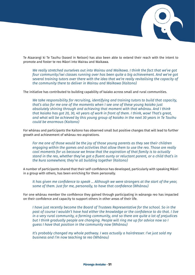

Te Ataarangi ki Te Tauihu (based in Nelson) has also been able to extend their reach with the intent to promote and foster te reo Māori into Wairau and Waikawa.

*We really stretched ourselves out into Wairau and Waikawa. I think the fact that we've got four community/iwi classes running over has been quite a big achievement. And we've got several training tutors over there with the idea that we're really revitalising the capacity of the community there to deliver in Wairau and Waikawa (Kaitono)*

The initiative has contributed to building capability of kaiako across small and rural communities.

*We take responsibility for recruiting, identifying and training tutors to build that capacity, that's also for me one of the moments when I see one of these young kaiako just absolutely shining through and achieving that moment with that whānau. And I think that kaiako has got 20, 30, 40 years of work in front of them. I think, wow! That's great, and what will be achieved by this young group of kaiako in the next 30 years in Te Tauihu could be enormous (Kaitono)*

For whānau and participants the Kaitono has observed small but positive changes that will lead to further growth and achievement of whānau reo aspirations.

*For me one of those would be the joy of those young parents as they see their children engaging within the games and activities that allow them to use the reo. Those are really cool moments for us because we know that the aspiration of that family is to actually stand in the reo, whether they've got a fluent aunty or reluctant parent, or a child that's in the kura somewhere; they're all building together (Kaitono)*

A number of participants shared that their self-confidence has developed, particularly with speaking Māori in a group with others, has been enriching for them personally.

*It has given me confidence to speak ... Although we were strangers at the start of the year, some of them. Just for me, personally, to have that confidence (Whānau)*

For one whānau member the confidence they gained through participating in wānanga reo has impacted on their confidence and capacity to support others in other areas of their life.

*I have just recently become the Board of Trustees Representative for the school. So in the past of course I wouldn't have had either the knowledge or the confidence to do that. I live in a very rural community, a farming community, and so there are quite a lot of prejudices but I think gradually people are changing. People will ring me up for advice now so I guess I have that position in the community now (Whānau)*

*It's probably changed my whole pathway. I was actually a hairdresser. I've just sold my business and I'm now teaching te reo (Whānau)*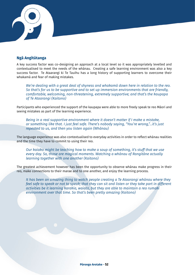#### **Ngā Angitūtanga**

A key success factor was co-designing an approach at a local level so it was appropriately levelled and contextualised to meet the needs of the whānau. Creating a safe learning environment was also a key success factor. Te Ataarangi ki Te Tauihu has a long history of supporting learners to overcome their whakamā and fear of making mistakes.

*We're dealing with a great deal of shyness and whakamā down here in relation to the reo. So that's for us to be supportive and to set up immersion environments that are friendly, comfortable, welcoming, non-threatening, extremely supportive; and that's the kaupapa of Te Ataarangi (Kaitono)*

Participants who experienced the support of the kaupapa were able to more freely speak te reo Māori and seeing mistakes as part of the learning experience.

*Being in a real supportive environment where it doesn't matter if I make a mistake, or something like that. I just feel safe. There's nobody saying, "You're wrong,"…it's just repeated to us, and then you listen again (Whānau)*

The language experience was also contextualised to everyday activities in order to reflect whānau realities and the time they have to commit to using their reo.

*Our kaiako might be teaching how to make a soup of something, it's stuff that we use every day. So, those are magical moments. Watching a whānau of Rangitāne actually learning together with one another (Kaitono)*

The greatest achievement however has been the opportunity to observe whānau make progress in their reo, make connections to their marae and to one another, and enjoy the learning process.

*It has been an amazing thing to watch people creating a Te Ataarangi whānau where they feel safe to speak or not to speak; that they can sit and listen or they take part in different activities be it learning karakia, waiata, but they are able to maintain a reo rumaki environment over that time. So that's been pretty amazing (Kaitono)*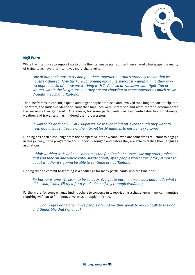

#### **Ngā Wero**

While the intent was to support iwi to unite their language plans under their shared whakapapa the reality of trying to achieve this intent was more challenging.

*One of our goals was to try and pull them together but that's probably the bit that we haven't achieved. They (iwi) are continuing and quite steadfastly maintaining their own iwi approach. So often we are working with Te Ati Awa at Waikawa, with Ngāti Toa at Wairau, within the iwi groups. But they are not choosing to come together as much as we thought they might (Kaitono)*

The time frames to consult, explain and to get people enthused and involved took longer than anticipated. Therefore, the initiative identified early that timelines were unrealistic and reset them to accommodate the learnings they gathered. Attendance, for some participants was fragmented due to commitments, weather, and travel, and has hindered their progression.

*In winter it's dark at 5:00. At 8:00pm we close everything off, even though they want to keep going. But still some of them travel for 30 minutes to get home (Kaitono)*

Funding has been a challenge from the perspective of the whānau who are sometimes reluctant to engage in this journey, if the programme and support is going to end before they are able to realise their language aspirations.

*I think working with whānau sometimes the funding is the issue. Like any other project that you take on and you're enthusiastic about, often people won't start if they're worried about whether it's gonna be able to continue or not (Kaitono)* 

Finding time to commit to learning is a challenge for many participants who are time poor.

*My barrier is time. We seem to be so busy. You got to put the time aside, and that's what I did. I said, "Look, I'll try it for a year". I'm halfway through (Whānau)*

Furthermore, for some whānau finding others to converse in te reo Māori is a challenge in many communities requiring whānau to find innovative ways to apply their reo.

*In my daily life I don't often have people around me that speak te reo so I talk to the dog and things like that (Whānau)*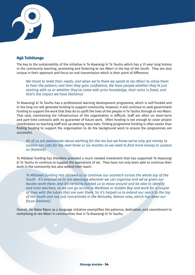#### **Ngā Toitūtanga**

The key to the sustainability of the initiative is Te Ataarangi ki Te Tauihu which has a 37-year long history in the community teaching, promoting and fostering te reo Māori in the top of the South. They are also unique in their approach and focus on oral transmission which is their point of difference.

*We travel to meet their needs, and when we're there we speak te reo Māori to allow them to hear the pattern; and then they gain confidence. We have people whether they're just starting with us or whether they've come with prior knowledge, their voice is freed, and that's the impact we have (Kaitono)*

Te Ataarangi ki Te Tauihu has a professional learning development programme, which is self-funded and in the long run will generate funding to support community. However, it will continue to seek government funding to support the work that they do to uplift the lives of the people in Te Tauihu through te reo Māori. That said, maintaining the infrastructure of the organisation is difficult, staff are often on short-term and part-time contracts with no guarantee of future work. Often funding is not enough to cover project coordination so teaching staff end up wearing many hats. Finding programme funding is often easier than finding funding to support the organisation to do the background work to ensure the programmes are successful.

*All of us are passionate about working for the reo but we know we've only got money to sustain our jobs for the next three or six months so we need to find more money to sustain us (Kaitono)*

Te Mātāwai funding has therefore provided a much needed investment that has supported Te Ataarangi ki Te Tauihu to continue to support the aspirations of iwi. They have not only been able to continue their work in the community but also extend their reach.

*Te Mātāwai funding has allowed us to continue our outreach across the whole top of the South. It's enabled us to run wānanga wherever we can organise and we've given our kaiako work there. And it's certainly funded us to move around and be able to identify and train teachers, so we can go across to Waikawa or Golden Bay and work for a couple of days with the tutors that are over there. So it's helped us to extend our reach to the top of the South and not just concentrate in the Motueka, Nelson area, which has been our focus (Kaitono)* 

Overall, He Waka Rāpoi as a language initiative exemplifies the patience, dedication, and commitment to revitalising te reo Māori in communities that is Te Ataarangi ki Te Tauihu.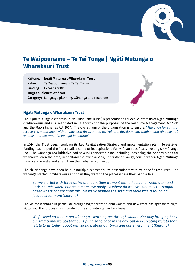

## **Te Waipounamu – Te Tai Tonga | Ngāti Mutunga o Wharekauri Trust**

**Kaitono: Ngāti Mutunga o Wharekauri Trust Kāhui:** Te Waipounamu – Te Tai Tonga **Funding:** Exceeds 100k **Target audience:** Whānau **Category:** Language planning, wānanga and resources



#### **Ngāti Mutunga o Wharekauri Trust**

The Ngāti Mutunga o Wharekauri Iwi Trust ("the Trust") represents the collective interests of Ngāti Mutunga o Wharekauri and is a mandated iwi authority for the purposes of the Resource Management Act 1991 and the Māori Fisheries Act 2004. The overall aim of the organisation is to ensure: *"The drive for cultural recovery is maintained with a long-term focus on reo revival, arts development, whakamana tāne me ngā wahine, tautoko tamariki me ngā kaumātua".* 

In 2014, the Trust began work on its Reo Revitalisation Strategy and implementation plan. Te Mātāwai funding has helped the Trust realise some of its aspirations for whānau specifically hosting six wānanga reo. The wānanga reo initiative had several connected aims including increasing the opportunities for whānau to learn their reo, understand their whakapapa, understand tikanga, consider their Ngāti Mutunga kōrero and waiata, and strengthen their whānau connections.

The six wānanga have been held in multiple centres for iwi descendants with iwi-specific resources. The wānanga started in Wharekauri and then they went to the places where their people live.

*So, we started with three on Wharekauri; then we went out to Auckland, Wellington and Christchurch, where our people are…We analysed where do we live? Where is the support base? Where can we grow this? So we've planted the seed and there was resounding feedback for more (Kaitono)*

The waiata wānanga in particular brought together traditional waiata and new creations specific to Ngāti Mutunga. This process has provided unity and kotahitanga for whānau.

*We focused on waiata reo wānanga - learning reo through waiata. Not only bringing back our traditional waiata that our tīpuna sang back in the day, but also creating waiata that relate to us today: about our islands, about our birds and our environment (Kaitono)*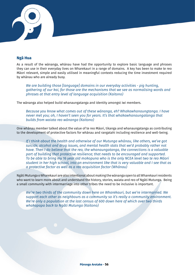

#### **Ngā Hua**

As a result of the wānanga, whānau have had the opportunity to explore basic language and phrases they can use in their everyday lives on Wharekauri in a range of domains. A key has been to make te reo Māori relevant, simple and easily utilised in meaningful contexts reducing the time investment required by whānau who are already busy.

*We are building those [language] domains in our everyday activities - pig hunting, gathering of our kai, for those are the mechanisms that we see as normalising words and phrases at that entry level of language acquisition (Kaitono)*

The wānanga also helped build whanaungatanga and identity amongst iwi members.

*Because you know what comes out of these wānanga, eh? Whakawhanaungtanga. I have never met you; oh, I haven't seen you for years. It's that whakawhanaungatanga that builds from waiata reo wānanga (Kaitono)*

One whānau member talked about the value of te reo Māori, tikanga and whanaungatanga as contributing to the development of protective factors for whānau and rangatahi including resilience and well-being.

*If I think about the health and otherwise of our Mutunga whānau, like others, we've got suicide, alcohol and drug issues, and mental health stats that we'd probably rather not have. Then I do believe that the reo, the whanaungatanga, the connections is a valuable part of building that protective resilience; that needs to be encouraged and supported. To be able to bring my 16 year old mokopuna who is the only NCEA level two te reo Māori student in her high school, into an environment like that is very valuable and I see that as a protective factor as well as a reo acquisition factor (Whānau)*

Ngāti Mutunga o Wharekauri are also intentional about making the wānanga open to all Wharekauri residents who want to learn more about and understand the history, stories, waiata and reo of Ngāti Mutunga. Being a small community with intermarriage into other tribes the need to be inclusive is important.

*We're two thirds of the community down here on Wharekauri, but we're intermarried. We support each other as neighbours as a community so it's really a community environment. We're only a population at the last census of 600 down here of which over two thirds whakapapa back to Ngāti Mutunga (Kaitono)*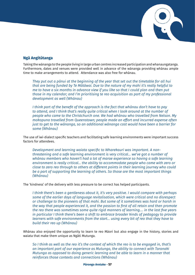

#### **Ngā Angitūtanga**

Taking the wānanga to the people living in large urban centres increased participation and whanaungatanga. Furthermore, dates and venues were provided well in advance of the wānanga providing whānau ample time to make arrangements to attend. Attendance was also free for whānau.

*They put out a pānui at the beginning of the year that set out the timetable for all hui that are being funded by Te Mātāwai. Due to the nature of my mahi it's really helpful to me to have a six months in advance view if you like so that I could plan and then put those in my calendar; and I'm prioritising te reo acquisition as part of my professional development as well (Whānau)*

*I think part of the benefit of the approach is the fact that whānau don't have to pay to attend, and I think that's really quite critical when I look around at the number of people who came to the Christchurch one. We had whānau who travelled from Nelson. My mokopuna travelled from Queenstown; people made an effort and incurred expense often just to get to the wānanga, so an additional wānanga cost would have been a barrier for some (Whānau)*

The use of iwi-dialect specific teachers and facilitating safe learning environments were important success factors for attendees.

*Development and learning waiata specific to Wharekauri was important. A nonthreatening and a safe learning environment is very critical… we've got a number of whānau members who haven't had a lot of marae experience so having a safe learning environment is really critical… the ability to accommodate people who came with zero or close to zero reo through to others at different points in their learning journey who could be a part of supporting the learning of others. So those are the most important things (Whānau)*

The 'kindness' of the delivery with less pressure to be correct has helped participants.

*I think there's been a gentleness about it, it's very positive. I would compare with perhaps some of the earlier days of language revitalisation, which were critical and no disrespect or challenge to the pioneers of that mahi. But some of it sometimes was hard or harsh in the way that people experienced it, and the passion to first of all retain and then promote the reo there was sometimes some quite rigid manners of learning.… in the last five years in particular I think there's been a shift to embrace broader kinds of pedagogy to provide learners with safe environments from the start… using every bit of reo that they have to build their reo up (Whānau)*

Whānau also enjoyed the opportunity to learn te reo Māori but also engage in the history, stories and waiata that make them unique as Ngāti Mutunga.

*So I think as well as the reo it's the context of which the reo is to be engaged in, that's an important part of our experience as Mutunga, the ability to connect with Taranaki Mutunga as opposed to doing generic learning and be able to learn in a manner that reinforces those contexts and connections (Whānau)*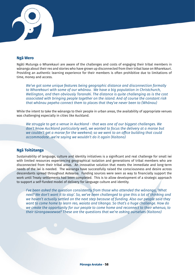#### **Ngā Wero**

Ngāti Mutunga o Wharekauri are aware of the challenges and costs of engaging their tribal members in wānanga about their reo and stories who have grown up disconnected from their tribal base on Wharekauri. Providing an authentic learning experience for their members is often prohibitive due to limitations of time, money and access.

*We've got some unique features being geographic distance and disconnection formally to Wharekauri with some of our whānau. We have a big population in Christchurch, Wellington, and then obviously Taranaki. The distance is quite challenging as is the cost associated with bringing people together on the island. And of course the constant risk that whānau pepeha connect them to places that they've never been to (Whānau)*

While the intent to take the wānanga to their people in urban areas, the availability of appropriate venues was challenging especially in cities like Auckland.

*We struggle to get a venue in Auckland - that was one of our biggest challenges. We don't know Auckland particularly well, we wanted to focus the delivery at a marae but we couldn't get a marae for the weekend; so we went to an office building that could accommodate…we're saying we wouldn't do it again (Kaitono)*

#### **Ngā Toitūtanga**

Sustainability of language, culture and identity initiatives is a significant and real challenge for small iwi with limited resources experiencing geographical isolation and generations of tribal members who are disconnected from their tribal areas. An innovative solution that meets the immediate and long-term needs of the iwi is needed. The wānanga have successfully raised the consciousness and desire across descendants spread throughout Aotearoa. Funding sources were seen as way to financially support the work until Treaty settlements had been completed. This is to allow development of a strategic approach to support a self-funded model of delivery for language culture and identity.

*I've been asked the question consistently from those who attended the wānanga, 'What next? We don't want it to stop'. So, we've been challenged to give this a lot of thinking and we haven't actually settled on the next step because of funding. Also our people said they want to come home to learn reo, waiata and tikanga. So that's a huge challenge. How do we create the opportunity for our people to come home and reconnect to their whenua, to their tūrangawaewae? These are the questions that we're asking ourselves (Kaitono)*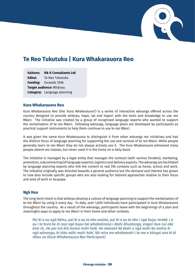

## **Te Reo Tukutuku | Kura Whakarauora Reo**

**Kaitono: R& K Consultants Ltd Kāhui:** Te Reo Tukutuku **Funding:** Exceeds 100k **Target audience:** Whānau **Category:** Language planning

#### **Kura Whakarauora Reo**

Kura Whakarauora Reo (the 'Kura Whakarauora') is a series of interactive wānanga offered across the country designed to provide whānau, hapū, iwi and hapori with the tools and knowledge to use reo Māori. The initiative was created by a group of recognised language experts who wanted to support the revitalisation of te reo Māori. Following wānanga, language plans are developed by participants as practical support instruments to help them continue to use te reo Māori.

It was given the name Kura Whakarauora to distinguish it from other wānanga reo initiatives and had the distinct focus of language planning for supporting the use and survival of te reo Māori. While people generally learn te reo Māori they do not always actively use it. The Kura Whakarauora witnessed many people attend reo classes, but never used it in the home on a daily basis.

The initiative is managed by a legal entity that manages the contract (with various funders), marketing, promotion, subcontracting (of language experts), logistics and delivery aspects. The wānanga are facilitated by language planning experts who link the content to real life contexts such as home, school and work. The initiative originally was directed towards a general audience but the demand and interest has grown to now also include specific groups who are also looking for tailored approaches relative to their focus and area of work or kaupapa.

#### **Ngā Hua**

The long-term intent is that whānau develop a culture of language planning to support the revitalisation of te reo Māori by using it every day. To date, over 1,000 individuals have participated in Kura Whakarauora throughout the country. As a result of the wānanga, participants leave with the beginnings of a plan and meaningful ways to apply te reo Māori in their home and other contexts.

*Pai ki a au ngā kēmu, pai ki a au te ako waiata, pai ki a au te ako i ngā kupu rerekē. I a au i te kura he iti noa ngā kupu hei whakatinana i ētahi āhuatanga, engari kua nui ake ēnei rā…He pai mō ērā momo mahi hoki. He relevant kē ētahi o ngā mahi ka mahia ki ngā wānanga, ki tōku wāhi mahi hoki. Nō reira me whakamahi i te reo e hāngai ana ki tō rātou ao (Kura Whakarauora Reo Participant)*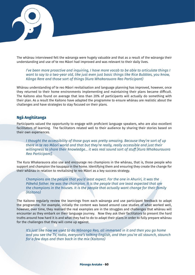

The whānau interviewed felt the wānanga were hugely valuable and that as a result of the wānanga their understanding and use of te reo Māori had improved and was relevant to their daily lives.

*I've been more proactive and inquiring, I have more vocab to be able to articulate things I want to say to a two-year old, like just even just basic things like Rice Bubbles, you know, Kānga Rere and those sort of things (Kura Whakarauora Reo Participant)*

Whānau understanding of te reo Māori revitalisation and language planning has improved, however, once they returned to their home environments implementing and maintaining their plans became difficult. The Kaitono also found on average that less than 20% of participants will actually do something with their plan. As a result the Kaitono have adapted the programme to ensure whānau are realistic about the challenges and have strategies to stay focused on their plans.

#### **Ngā Angitūtanga**

Participants valued the opportunity to engage with proficient language speakers, who are also excellent facilitators of learning. The facilitators related well to their audience by sharing their stories based on their own experiences.

*I thought the accessibility of those guys was pretty amazing. Because they're sort of up there in te reo Māori world and that but they're really, really accessible and just their willingness to share their knowledge… it was real sound sort of stuff [Kura Whakaurauora Reo Participant].*

The Kura Whakarauora also use and encourage reo champions in the whānau, that is, those people who support and champion the kaupapa in the home. Identifying them and ensuring they create the change for their whānau in relation to revitalising te reo Māori as a key success strategy.

*Champions are the people that you'd least expect. For the one in Ahuriri, it was the Pākehā father. He was the champion. It is the people that are least expected that are the champions in the houses. It is the people that actually want change for their family (Kaitono)*

The Kaitono regularly review the learnings from each wānanga and use participant feedback to adapt the programme. For example, initially the content was based around case studies of what worked well, however, over time, they realised the real examples are in the struggles and challenges that whānau will encounter as they embark on their language journey. Now they ask their facilitators to present the hard truths around how hard it is and what they had to do to adapt their plans in order to fully prepare whānau for the challenges that they will come up against.

*It's just like how we used to do Wānanga Reo, all immersed in it and then you go home and you see the TV, radio, everyone's talking English, and then you're all staunch, staunch for a few days and then back in the mix (Kaitono)*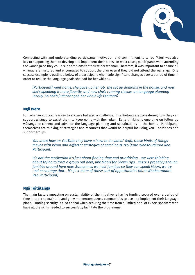

Connecting with and understanding participants' motivation and commitment to te reo Māori was also key to supporting them to develop and implement their plans. In most cases, participants were attending the wānanga so they could support plans for their wider whānau. Therefore, it was important to ensure all whānau are nurtured and encouraged to support the plan even if they did not attend the wānanga. One success example is outlined below of a participant who made significant changes over a period of time in order to realise the language goals she had for her whānau.

*[Participant] went home, she gave up her job, she set up domains in the house, and now she's speaking it more fluently, and now she's running classes on language planning locally. So she's just changed her whole life (Kaitono)*

#### **Ngā Wero**

Full whānau support is a key to success but also a challenge. The Kaitono are considering how they can support whānau to assist them to keep going with their plan. Early thinking is emerging on follow up wānanga to cement and advance the language planning and sustainability in the home. Participants themselves are thinking of strategies and resources that would be helpful including YouTube videos and support groups.

*You know how on YouTube they have a 'how to do video.' Yeah, those kinds of things maybe with kēmu and different strategies of catching te reo (Kura Whakaurauora Reo Participant)*

*It's not the motivation it's just about finding time and prioritising... we were thinking about trying to form a group out here, like Māori for Grown Ups… there's probably enough families around here now. Sometimes we host families so they can speak Māori, we try and encourage that… it's just more of those sort of opportunities (Kura Whakaurauora Reo Participant)*

#### **Ngā Toitūtanga**

The main factors impacting on sustainability of the initiative is having funding secured over a period of time in order to maintain and grow momentum across communities to use and implement their language plans. Funding security is also critical when securing the time from a limited pool of expert speakers who have all the skills needed to successfully facilitate the programme.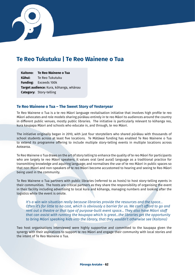

## **Te Reo Tukutuku | Te Reo Wainene o Tua**

**Kaitono: Te Reo Wainene o Tua Kāhui:** Te Reo Tukutuku **Funding:** Exceeds 100k **Target audience:** Kura, kōhanga, whānau **Category:** Story-telling

#### **Te Reo Wainene o Tua – The Sweet Story of Yesteryear**

Te Reo Wainene o Tua is a te reo Māori language revitalisation initiative that involves high profile te reo Māori advocates and role models sharing pūrākau entirely in te reo Māori to audiences around the country in different public venues, mostly public libraries. The initiative is particularly relevant to kōhanga reo, kura kaupapa Māori and schools who educate in, and through, te reo Māori.

The initiative originally began in 2010, with just four storytellers who shared pūrākau with thousands of school students across at least five locations. Te Mātāwai funding has enabled Te Reo Wainene o Tua to extend its programme offering to include multiple story-telling events in multiple locations across Aotearoa.

Te Reo Wainene o Tua draws on the art of story telling to enhance the quality of te reo Māori for participants who are largely te reo Māori speakers; it values oral (and aural) language as a traditional practice for transmitting knowledge and aquiring language; and normalises the use of te reo Māori in public spaces so that non-Māori and non-speakers of te reo Māori become accustomed to hearing and seeing te Reo Māori being used in the community.

Te Reo Wainene o Tua partners with public libraries (referred to as hosts) to host story-telling events in their communities. The hosts are critical partners as they share the responsibility of organising the event in their facility including advertising to local kura and kōhanga, managing numbers and looking after the logistics while the event is onsite.

*It's a win-win situation really because libraries provide the resources and the space… Often it's for little to no cost, which is obviously a barrier for us. We can't afford to go and rent out a theatre or that type of purpose-built event space… They also have Māori staff that can assist with running the kaupapa which is great…the libraries get the opportunity to bring Māori speaking kids into the library, that they wouldn't otherwise see (Kaitono)*

Two host organisations interviewed were highly supportive and committed to the kaupapa given the synergy with their aspirations to support te reo Māori and engage their community with local stories and the intent of Te Reo Wainene o Tua.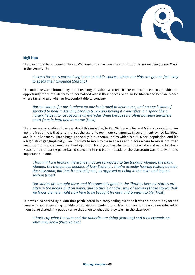

#### **Ngā Hua**

The most notable outcome of Te Reo Wainene o Tua has been its contribution to normalising te reo Māori in the community.

#### *Success for me is normalising te reo in public spaces…where our kids can go and feel okay to speak their language (Kaitono)*

This outcome was reinforced by both hosts organisations who felt that Te Reo Wainene o Tua provided an opportunity for te reo Māori to be normalised within their spaces but also for libraries to become places where tamariki and whānau felt comfortable to convene.

*Normalisation, for me, is where no one is alarmed to hear te reo, and no one is kind of shocked to hear it. Actually hearing te reo and having it come alive in a space like a library, helps it to just become an everyday thing because it's often not seen anywhere apart from in kura and at marae (Host)*

There are many positives I can say about this initiative, Te Reo Wainene o Tua and Māori story-telling. For me, the first thing is that it normalises the use of te reo in our community, in government-owned facilities, and in public spaces. That's huge. Especially in our communities which is 40% Māori population, and it's a big district geographically. Two, it brings te reo into these spaces and places where te reo is not often heard…and three, it shares local heritage through story-telling which supports what we already do (Host) Hosts felt that hearing place-based stories in te reo Māori outside of the classroom was a relevant and important outcome.

 *[Tamariki] are hearing the stories that are connected to the tangata whenua, the mana whenua, the Indigenous peoples of New Zealand… they're actually hearing history outside the classroom, but that it's actually real, as opposed to being in the myth and legend section (Host)*

*Our stories are brought alive, and it's especially good in the libraries because stories are often in the books, and on paper, and so this is another way of showing those stories that we know are here, right now here to be brought forward and brought to life (Host)*

This was also shared by a kura that participated in a story-telling event as it was an opportunity for the tamariki to experience high quality te reo Māori outside of the classroom, and to hear stories relevant to them being shared in a public venue that align to what the they learn in the classroom.

*It backs up what the kura and the tamariki are doing (learning) and then expands on what they know (Kura Kaiako)*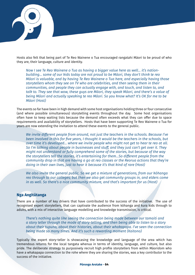

Hosts also felt that being part of Te Reo Wainene o Tua encouraged rangatahi Māori to be proud of who they are, their language, culture and identity.

*Now I see Te Reo Wainene o Tua as having a bigger value here as well… it's nationbuilding… some of our kids today are not proud to be Māori, they don't think te reo Māori is valuable, and by having Te Reo Wainene o Tua here, and especially having those storytellers whom they see on TV who are celebrities, and then seeing them in their communities, and people they can actually engage with, and touch, and listen to, and talk to. They see that wow, these guys are Māori, they speak Māori, and there's a value of being Māori and actually speaking te reo Māori. So you know what? It's OK for me to be Māori (Host)*

The events so far have been in high demand with some host organisations holding three or four consecutive (and where possible simultaneous) storytelling events throughout the day. Some host organisations often have to keep waiting lists because the demand often exceeds what they can offer due to space requirements and availability of storytellers. Hosts that have been supporting Te Reo Wainene o Tua for years are now extending the invitation to attend these events to the general public.

*We invite different people from around, not just the teachers in the schools. Because I've been involved in this for five years, I thought it would be the teachers in the schools, but over time it's developed… where we invite people who might not get to hear te reo at all. So I'm talking about people in businesses and stuff, and they just can't get over it. They might not understand or fully comprehend some of the stories, but because of the way the storytellers tell the stories, it's entertaining for them…So different people from the community drop in that are having a go at reo classes or the Reorua actions that they're doing in their own lives, just to hear it because it's that kind of rare (Host)*

*We also invite the general public. So we get a mixture of generations, from our kōhanga reo through to our colleges; but then we also get community groups in, and elders come in as well. So there's a nice community mixture, and that's important for us (Host)*

#### **Nga Angitūtanga**

There are a number of key drivers that have contributed to the success of the initiative. The use of recognised expert storytellers, that can captivate the audience from kōhanga and kura kids through to adults, with a mix of interactive language modelling and knowledge transmission, is critical.

*There's nothing quite like seeing the connection being made between our tamaiti and a story teller through the mode of story-telling, and then being able to listen to a story about their tupuna, about their histories, about their whakapapa. I've seen the connection being made so many times. And it's such a rewarding moment (Kaitono)*

Typically the expert story-teller is showcasing the knowledge and language of the area which has tremendous returns for the local tangata whenua in terms of identity, language, and culture, but also pride. The deliberate strategy to purposively recruit high profile storytellers from within Māoridom who have a whakapapa connection to the rohe where they are sharing the stories, was a key contributor to the success of the initiative.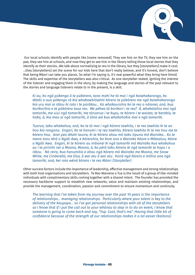

 Our local schools identify with people like [name removed]. They see him on the TV, they see him on the pae, they see him at schools, and now they get to see him in the library telling those local stories that they identify as their stories…We talk about normalising te reo in the library, but they [storytellers] make it cool. …they [storytellers] set the scene for our kids here that don't really believe, and it's honest, don't believe that being Māori can take you places. So what I'm saying is, it's real powerful what they bring here (Host) The skills and expertise of the storytellers was also critical. As one storyteller stated, igniting the interest of the listener and engaging them in the story, by making the language and stories of the past relevant to the stories and language listeners relate to in the present, is a skill.

*Ki au, ko ngā pūkenga ā te pūkōrero, tana mahi he tō mai i ngā kaiwhakarongo, ko tētahi o aua pūkenga rā kia whakawhitiwhiti kōrero te pūkōrero me ngā kaiwhakarongo kia uru mai ai rātou ki roto i te pūrākau… Ka whakauruhia ko te reo o nāianei, anā, kua korikorihia e te pūkōrero taua reo. Me pēhea tō korikori i te reo? Ā, whakatūhia mai ngā tamariki, me uiui ngā tamariki, me tāruarua i te kupu, te kōrero i te waiata, te karakia, te haka, ā, kia mau ai ngā tamariki, ā tōna wā kua whakahokia mai e ngā tamariki.* 

*Tuarua, taku whakahua, anā, ko te tō mai i ngā kōrero tawhito, i te reo tawhito ki te ao hou kia rangona. Engari, ko te hanumi i te reo tawhito, kōrero tawhito ki te reo hou me te kōrero hou. Anei pea tētahi tauira, ki te kōrero ahau mō taku tipuna mō Wairaka… Ko te mana tonu tērā o Ngāti Awa, e kōrerohia, ka kore ana a Wairaka kāore a Mātaatua, kāore a Ngāti Awa. Engari, ki te kōrero au ināianei ki ngā tamariki mō Wairaka kua whakahua au i te pirinihi nei a Moana, Moana, ā, ka pērā taku kōrero ki ngā tamariki te hopu i a rātou. Nō reira, kua hanumitia e ahau ngā kōrero mō Wairaka me Moana, me Snow White, me Cinderella, me Elsa, ā wai atu ā wai atu. Koirā ngā kōrero e mōhio ana ngā tamariki, anā, kei roto wēnā kōrero i te reo Māori (Storyteller)* 

Other success factors include the importance of leadership, effective management and strong relationships with both host organisations and storytellers. Te Reo Wainene o Tua is the result of a group of like-minded individuals with complimentary skills coming together with a shared intent. The founder has provided the necessary backbone support to establish new networks, value and maintain existing relationships, and provide the management, coordination, passion and commitment to ensure momentum and continuity.

*The learning that I've taken from my journey over the past 10 years is the importance of relationships… managing relationships. Particularly where your talent is key to the delivery of the kaupapa… so I've got personal relationships with all of the storytellers so I know that if I put the call out to your whānau to step in to do an event, I know that someone is going to come back and say, "Yup. Cool, that's me". Having that little bit of confidence because of the strength of our relationships makes it a lot easier (Kaitono)*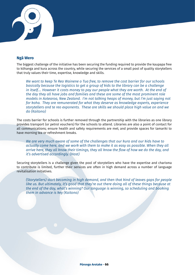

#### **Ngā Wero**

The biggest challenge of the initiative has been securing the funding required to provide the kaupapa free to kōhanga and kura across the country, while securing the services of a small pool of quality storytellers that truly values their time, expertise, knowledge and skills.

*We want to keep Te Reo Wainene o Tua free, to remove the cost barrier for our schools basically because the logistics to get a group of kids to the library can be a challenge*  in itself.... However it costs money to pay our people what they are worth. At the end of *the day they all have jobs and families and these are some of the most prominent role models in Aotearoa, New Zealand. I'm not talking heaps of money, but I'm just saying not for koha. They are remunerated for what they deserve as knowledge experts, experience storytellers and te reo exponents. These are skills we should place high value on and we do (Kaitono)*

The costs barrier for schools is further removed through the partnership with the libraries as one library provides transport (or petrol vouchers) for the schools to attend. Libraries are also a point of contact for all communications; ensure health and safety requirements are met; and provide spaces for tamariki to have morning tea or refreshment breaks.

*We are very much aware of some of the challenges that our kura and our kids have to actually come here, and we work with them to make it as easy as possible. When they all arrive here, they all know their timings, they all know the flow of how we do the day, and it's advertised accordingly. (Host)* 

Securing storytellers is a challenge given the pool of storytellers who have the expertise and charisma to contribute is limited, further their services are often in high demand across a number of language revitalisation initiatives.

*(Storytellers) start becoming in high demand, and then that kind of leaves gaps for people like us. But ultimately, it's good that they're out there doing all of these things because at the end of the day, what's winning? Our language is winning, so scheduling and booking them in advance is key (Kaitono)*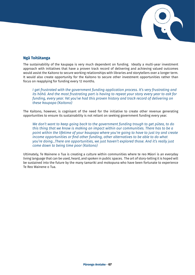

#### **Ngā Toitūtanga**

The sustainability of the kaupapa is very much dependent on funding. Ideally a multi-year investment approach with initiatives that have a proven track record of delivering and achieving valued outcomes would assist the Kaitono to secure working relationships with libraries and storytellers over a longer term. It would also create opportunity for the Kaitono to secure other investment opportunities rather than focus on reapplying for funding every 12 months.

*I get frustrated with the government funding application process. It's very frustrating and its hōhā. And the most frustrating part is having to repeat your story every year to ask for funding, every year. Yet you've had this proven history and track record of delivering on these kaupapa (Kaitono)*

The Kaitono, however, is cognisant of the need for the initiative to create other revenue generating opportunities to ensure its sustainability is not reliant on seeking government funding every year.

*We don't want to keep going back to the government funding trough to get pūtea, to do this thing that we know is making an impact within our communities. There has to be a point within the lifetime of your kaupapa where you're going to have to just try and create income opportunities or find other funding, other alternatives to be able to do what you're doing…There are opportunities, we just haven't explored those. And it's really just come down to being time poor (Kaitono)*

Ultimately, Te Wainene o Tua is creating a culture within communities where te reo Māori is an everyday living language that can be used, heard, and spoken in public spaces. The art of story-telling it is hoped will be sustained into the future by the many tamariki and mokopuna who have been fortunate to experience Te Reo Wainene o Tua.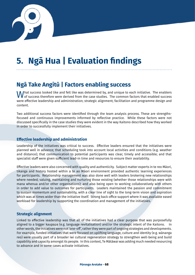# **5. Ngā Hua | Evaluation findings**

## **Ngā Take Angitū | Factors enabling success**

**W** hat success looked like and felt like was determined by, and unique to each initiative. The enablers of success therefore were derived from the case studies. The common factors that enabled success were effective leadership and administration; strategic alignment; facilitation and programme design and content.

Two additional success factors were identified through the team analysis process. These are strengthsfocused and continuous improvements informed by reflective practice. While these factors were not discussed specifically in the case studies they were evident in the way Kaitono described how they worked in order to successfully implement their initiatives.

#### **Effective leadership and administration**

Leadership of the initiatives was critical to success. Effective leaders ensured that the initiatives were planned well in advance; that scheduling took into account local activities and conditions (e.g. weather and distance); that communication to potential participants was clear, timely and accessible; and that specialist staff were given sufficient lead-in time and resources to ensure their availability.

Effective leaders were also concerned with quality and authenticity. Subject matter experts in te reo Māori, tikanga and history hosted within a te ao Māori environment provided authentic learning experiences for participants. Relationship management was also done well with leaders brokering new relationships where needed; valuing, maintaining and nurturing those existing (whether those relationships were with mana whenua and/or other organisations); and also being open to working collaboratively with others in order to add value to outcomes for participants. Leaders maintained the passion and commitment to sustain momentum and sustainability, with a clear line of sight to the long-term vision and aspiration which was at times wider than the initiative itself. Strong back office support where it was available eased workload for leadership by supporting the coordination and management of the initiatives.

#### **Strategic alignment**

Linked to effective leadership was that all of the initiatives had a clear purpose that was purposefully aligned to a bigger kaupapa (e.g. language revitalisation) and/or the strategic intent of the Kaitono. In other words, the initiatives were not 'one-off', rather they were part of ongoing strategies and developments. For example, funded initiatives that were focused on uplifting language, culture and identity (e.g. wānanga reo) were usually part of a broader iwi cultural regeneration strategy to strengthen well-being and build capability and capacity amongst its people. In this context, Te Mātāwai was adding much needed resourcing to advance and in some cases activate initiatives.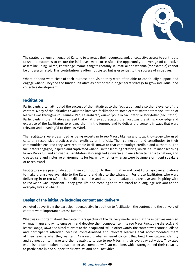

The strategic alignment enabled Kaitono to leverage their resources, and/or collective assets to contribute to shared outcomes to ensure the initiatives were successful. The opportunity to leverage off collective assets including iwi reo, knowledge, marae, tāngata (notably kaumātua) and whenua (for example) cannot be underestimated. This contribution is often not costed but is essential to the success of initiatives.

Where Kaitono were clear of their purpose and vision they were often able to continually support and engage whānau beyond the funded initiative as part of their longer-term strategy to grow individual and collective development.

# **Facilitation**

Participants often attributed the success of the initiatives to the facilitation and also the relevance of the content. Many of the initiatives evaluated involved facilitation to some extent whether that facilitation of learning was through a Pou Taunaki Reo; Kaiārahi reo; kaiako/pouako; facilitator; or storyteller ('facilitator'). Participants in the initiatives agreed that what they appreciated the most was the skills, knowledge and expertise of the facilitators to engage them in the journey and to deliver the content in ways that were relevant and meaningful to them as Māori.

The facilitators were described as being experts in te reo Māori, tikanga and local knowledge who used culturally responsive practices either explicitly or implicitly. Their connection and contribution to their communities ensured they were reputable (well-known to that community), credible and authentic. The facilitators engaged, inspired and captivated whānau in the learning activities, which in turn made learning te reo Māori fun and enjoyable. Facilitators also engaged a diverse audience from tamariki to pakeke, and created safe and inclusive environments for learning whether whānau were beginners or fluent speakers of te reo Māori.

Facilitators were passionate about their contribution to their initiative and would often go over and above to make themselves available to the Kaitono and also to the whānau. For those facilitators who were delivering in te reo Māori their skills, expertise and ability to be adaptable, creative and inspiring with te reo Māori was important – they gave life and meaning to te reo Māori as a language relevant to the everyday lives of whānau.

# **Design of the initiative including content and delivery**

As noted above, from the participant perspective in addition to facilitation, the content and the delivery of content were important success factors.

What was important about the content, irrespective of the delivery model, was that the initiatives enabled whānau, hapū and iwi to engage in and develop their competence in te reo Māori (including dialect), and learn tikanga, kawa and hītori relevant to their hapū and iwi. In other words, the content was contextualised and participants attended because contextualised and relevant learning that accommodated them at their level is what they wanted. As a result, whānau learnt content that built their cultural identity and connection to marae and their capability to use te reo Māori in their everyday activities. They also established connections to each other as extended whānau members which strengthened their capacity to participate in and support their own iwi and hapū activities.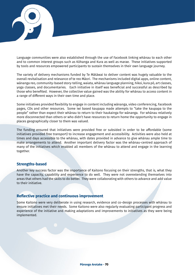

Language communities were also established through the use of Facebook linking whānau to each other and to common interest groups such as Kōhanga and Kura as well as marae. These initiatives supported by tools and resources empowered participants to sustain themselves in their own language journey.

The variety of delivery mechanisms funded by Te Mātāwai to deliver content was hugely valuable to the overall revitalisation and relevance of te reo Māori. The mechanisms included digital apps, online content, wānanga reo, community-based story-telling, waiata, whānau language planning, hikoi, kura pō, art classes, yoga classes, and documentaries. Each initiative in itself was beneficial and successful as described by those who benefited. However, the collective value gained was the ability for whānau to access content in a range of different ways in their own time and place.

Some initiatives provided flexibility to engage in content including wānanga, video conferencing, Facebook pages, CDs and other resources. Some iwi based kaupapa made attempts to "take the kaupapa to the people" rather than expect their whānau to return to their haukainga for wānanga. For whānau relatively more disconnected than others or who didn't have resources to return home the opportunity to engage in places geographically closer to them was valued.

The funding ensured that initiatives were provided free or subsided in order to be affordable (some initiatives provided free transport) to increase engagement and accessibility. Activities were also held at times and days accessible to the whānau, with dates provided in advance to give whānau ample time to make arrangements to attend. Another important delivery factor was the whānau-centred approach of many of the initiatives which enabled all members of the whānau to attend and engage in the learning together.

# **Strengths-based**

Another key success factor was the importance of Kaitono focusing on their strengths, that is, what they have the capacity, capability and experience to do well. They were not overextending themselves into areas that others had the skills to do better. They were collaborating with others to advance and add value to their initiative.

#### **Reflective practice and continuous improvement**

Some Kaitono were very deliberate in using research, evidence and co-design processes with whānau to ensure initiatives met their needs. Some Kaitono were also regularly evaluating participant progress and experience of the initiative and making adaptations and improvements to initiatives as they were being implemented.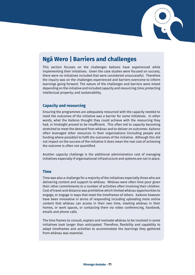

# **Ngā Wero | Barriers and challenges**

This section focuses on the challenges Kaitono have experienced while implementing their initiatives. Given the case studies were focused on success, there were no initiatives included that were considered unsuccessful. Therefore the inquiry was on the challenges experienced and barriers overcome to inform learnings going forward. The nature of the challenges and barriers were mixed depending on the initiative and included capacity and resourcing; time; protecting intellectual property; and sustainability.

# **Capacity and resourcing**

Ensuring the programmes are adequately resourced with the capacity needed to meet the outcomes of the initiative was a barrier for some initiatives. In other words, what the Kaitono thought they could achieve with the resourcing they had, in hindsight proved to be insufficient. This often led to capacity becoming stretched to meet the demand from whānau and to deliver on outcomes. Kaitono often leveraged other resources in their organisations (including people and funding where possible) to fulfil the outcomes of the initiative. Although this did not impact on the success of the initiative it does mean the real cost of achieving the outcome is often not quantified.

Another capacity challenge is the additional administration cost of managing initiatives especially if organisational infrastructure and systems are not in place.

# **Time**

Time was also a challenge for a majority of the initiatives especially those who are delivering content and support to whānau. Whānau were often time poor given their other commitments to a number of activities often involving their children. Cost of travel and distance was prohibitive which limited whānau opportunities to engage, or engage in ways that meet the timeframes of others. Kaitono however have been innovative in terms of responding including uploading more online content that whānau can access in their own time, meeting whānau in their homes, or work spaces, or contacting them via video conferencing, Facebook, emails and phone calls.

The time frames to consult, explain and motivate whānau to be involved in some initiatives took longer than anticipated. Therefore, flexibility and capability to adapt timeframes and activities to accommodate the learnings they gathered from whānau was essential.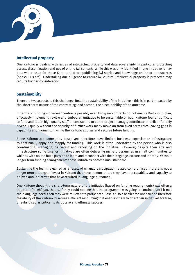# **Intellectual property**

One Kaitono is dealing with issues of intellectual property and data sovereignty, in particular protecting access, dissemination and use of online iwi content. While this was only identified in one initiative it may be a wider issue for those Kaitono that are publishing iwi stories and knowledge online or in resources (books, CDs etc). Undertaking due diligence to ensure iwi cultural intellectual property is protected may require further consideration.

# **Sustainability**

There are two aspects to this challenge: first, the sustainability of the initiative – this is in part impacted by the short-term nature of the contracting; and second, the sustainability of the outcome.

In terms of funding – one-year contracts possibly even two-year contracts do not enable Kaitono to plan, effectively implement, review and embed an initiative to be sustainable or not. Kaitono found it difficult to fund and retain high quality staff or contractors to either project manage, coordinate or deliver for only a year. Equally without the security of further work many move on from fixed-term roles leaving gaps in capability and momentum while the Kaitono applies and secures future funding.

Some Kaitono are community based and therefore have limited business expertise or infrastructure to continually apply and reapply for funding. This work is often undertaken by the person who is also coordinating, managing, delivering and reporting on the initiative. However, despite their size and infrastructure some smaller initiatives are often delivering niche programmes in small communities to whānau with no reo but a passion to learn and reconnect with their language, culture and identity. Without longer term funding arrangements these initiatives become unsustainable.

Sustaining the learning gained as a result of whānau participation is also compromised if there is not a longer term strategy to invest in Kaitono that have demonstrated they have the capability and capacity to deliver, and initiatives that have resulted in language outcomes.

One Kaitono thought the short-term nature of the initiative (based on funding requirements) was often a deterrent for whānau, that is, if they could not see that the programme was going to continue until it met their language need, then they were reluctant to participate. Cost is also a barrier for whānau and therefore the ability of the Kaitono to secure sufficient resourcing that enables them to offer their initiatives for free, or subsidised, is critical to its uptake and ultimate success.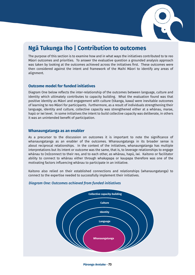

# **Ngā Tukunga Iho | Contribution to outcomes**

The purpose of this section is to examine how and in what ways the initiatives contributed to te reo Māori outcomes and priorities. To answer the evaluative question a grounded analysis approach was taken by looking at the outcomes achieved across the initiatives first. These outcomes were then considered against the intent and framework of the Maihi Māori to identify any areas of alignment.

# **Outcome model for funded initiatives**

Diagram One below reflects the inter-relationship of the outcomes between language, culture and identity which ultimately contributes to capacity building. What the evaluation found was that positive identity as Māori and engagement with culture (tikanga, kawa) were inevitable outcomes of learning te reo Māori for participants. Furthermore, as a result of individuals strengthening their language, identity and culture, collective capacity was strengthened either at a whānau, marae, hapū or iwi level. In some initiatives the intent to build collective capacity was deliberate, in others it was an unintended benefit of participation.

#### **Whanaungatanga as an enabler**

As a precursor to the discussion on outcomes it is important to note the significance of whanaungatanga as an enabler of the outcomes. Whanaungatanga in its broader sense is about reciprocal relationships. In the context of the initiatives, whanaungatanga has multiple interpretations but its intent or outcome was the same, that is, to leverage relationships to engage whānau to (re)connect to their reo, and to each other, as whānau, hapū, iwi. Kaitono or facilitator ability to connect to whānau either through whakapapa or kaupapa therefore was one of the motivating factors influencing whānau to participate in an initiative.

Kaitono also relied on their established connections and relationships (whanaungatanga) to connect to the expertise needed to successfully implement their initiatives.



#### *Diagram One: Outcomes achieved from funded initiatives*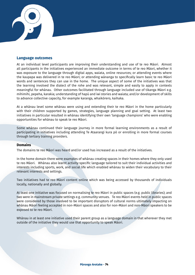# **Language outcomes**

At an individual level participants are improving their understanding and use of te reo Māori. Almost all participants in the initiatives experienced an immediate outcome in terms of te reo Māori, whether it was exposure to the language through digital apps, waiata, online resources; or attending events where the kaupapa was delivered in te reo Māori; or attending wānanga to specifically learn basic te reo Māori words and sentences they can use in the home. The unique aspect of some of the initiatives was that the learning involved the dialect of the rohe and was relevant, simple and easily to apply in contexts meaningful for whānau. Other outcomes facilitated through language included use of tikanga Māori e.g. mihimihi, pepeha, karakia; understanding of hapū and iwi stories and waiata; and/or development of skills to advance collective capacity, for example karanga, whaikōrero, kaihaka.

At a whānau level some whānau were using and extending their te reo Māori in the home particularly with their children supported by games, strategies, language planning and goal setting. At least two initiatives in particular resulted in whānau identifying their own 'language champions' who were enabling opportunities for whānau to speak te reo Māori.

Some whānau continued their language journey in more formal learning environments as a result of participating in initiatives including attending Te Ataarangi kura pō or enrolling in more formal courses through tertiary training providers.

#### **Domains**

The domains te reo Māori was heard and/or used has increased as a result of the initiatives.

In the home domain there were examples of whānau creating spaces in their homes where they only used te reo Māori. Whānau also learnt activity-specific language tailored to suit their individual activities and interests including sports, work, and social life which enabled whānau to widen their vocabulary to their relevant interests and settings.

Two initiatives had te reo Māori content online which was being accessed by thousands of individuals locally, nationally and globally.

At least one initiative was focused on normalising te reo Māori in public spaces (e.g. public libraries); and two were in mainstream private settings e.g. community venues. Te reo Māori events held in public spaces were considered by those involved to be important disruptors of cultural norms ultimately impacting on whānau Māori feeling accepted in non-Māori spaces and also for non-Māori and non-Māori speakers to be exposed to te reo Māori.

Whānau in at least one initiative used their parent group as a language domain in that wherever they met outside of the initiative they would use that opportunity to speak Māori.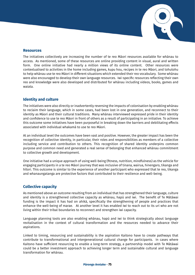

#### **Resources**

The initiatives collectively are increasing the number of te reo Māori resources available for whānau to access. As mentioned, some of these resources are online providing content in visual, aural and written form. One online initiative had nearly a million views of its online content. Other resources were contextualised to activities in the home including games, kupu hou, recipes in te reo Māori, and tohutohu to help whānau use te reo Māori in different situations which extended their reo vocabulary. Some whānau were also encouraged to develop their own language resources. Iwi-specific resources reflecting their own reo and knowledge were also developed and distributed for whānau including videos, books, games and waiata.

#### **Identity and culture**

The initiatives were also directly or inadvertently reversing the impacts of colonisation by enabling whānau to reclaim their language, which in some cases, had been lost in one generation, and reconnect to their identity as Māori and their cultural traditions. Many whānau interviewed expressed pride in their identity and confidence to use te reo Māori in front of others as a result of participating in an initiative. To achieve this outcome some initiatives have been purposeful in breaking down the barriers and debilitating effects associated with individual whakamā to use te reo Māori.

At an individual level the outcomes have been vast and positive. However, the greater impact has been the recognition of collective identity, in particular, their roles and responsibilities as members of a collective including service and contribution to others. This recognition of shared identity underpins common purpose and common need and generated a real sense of belonging that enhanced whānau commitment to collective growth and development.

One initiative had a unique approach of using well-being (fitness, nutrition, mindfulness) as the vehicle for engaging participants in a te reo Māori journey that was inclusive of tinana, wairua, hinengaro, tikanga and hītori. This outcome is similar to the experience of another participant who expressed that te reo, tikanga and whanaungatanga are protective factors that contributed to their resilience and well-being.

#### **Collective capacity**

As mentioned above an outcome resulting from an individual that has strengthened their language, culture and identity is a strengthened collective capacity as whānau, hapū and iwi. The benefit of Te Mātāwai funding is the impact it has had on ahikā, specifically the strengthening of people and practices that enhance the well-being of marae. At another level it has enabled iwi to reach out to its uri who are not living within their tribal boundaries to reconnect and strengthen iwi capacity.

Language planning tools are also enabling whānau, hapū and iwi to think strategically about language revitalisation in the context of cultural transformation and the resources needed to advance their aspirations.

Linked to timing, resourcing and sustainability is the aspiration Kaitono have to create pathways that contribute to transformational and intergenerational cultural change for participants. In cases where Kaitono have sufficient resourcing to enable a long-term strategy, a partnership model with Te Mātāwai could be a better investment approach to achieving longer term and sustainable cultural and language transformation for whānau.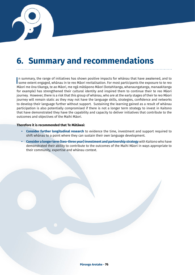

# **6. Summary and recommendations**

In summary, the range of initiatives has shown positive impacts for whanau that have awakened, and to some extent engaged, whanau in te reo Māori revitalisation. For most participants the exposure to te reo In summary, the range of initiatives has shown positive impacts for whānau that have awakened, and to Māori me ōna tikanga, te ao Māori, me ngā mātāpono Māori (kotahitanga, whanaungatanga, manaakitanga for example) has strengthened their cultural identity and inspired them to continue their te reo Māori journey. However, there is a risk that this group of whānau, who are at the early stages of their te reo Māori journey will remain static as they may not have the language skills, strategies, confidence and networks to develop their language further without support. Sustaining the learning gained as a result of whānau participation is also potentially compromised if there is not a longer term strategy to invest in Kaitono that have demonstrated they have the capability and capacity to deliver initiatives that contribute to the outcomes and objectives of the Maihi Māori.

#### **Therefore it is recommended that Te Mātāwai:**

- **• Consider further longitudinal research** to evidence the time, investment and support required to shift whānau to a point where they can sustain their own language development.
- **• Consider a longer term (two-three year) investment and partnership strategy** with Kaitono who have demonstrated their ability to contribute to the outcomes of the Maihi Māori in ways appropriate to their community, expertise and whānau context.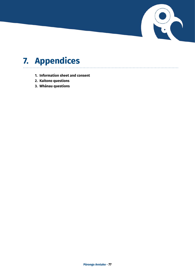



- **1. Information sheet and consent**
- **2. Kaitono questions**
- **3. Whānau questions**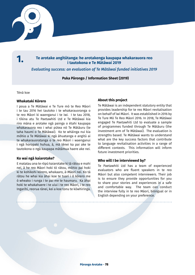

# **Te arotake angitūtanga: he arotakenga kaupapa whakarauora reo i tautokona e Te Mātāwai 2019**

#### *Evaluating success: an evaluation of Te Mātāwai funded initiatives 2019*

#### **Puka Pārongo / Information Sheet (2019)**

Tēnā koe

**1.**

#### **Whakataki Kōrero**

I poua a Te Mātāwai e Te Ture mō te Reo Māori i te tau 2016 hei tautoko i te whakarauoranga o te reo Māori ki waenganui i te iwi. I te tau 2018, i tīkina atu Te Paetawhiti Ltd e Te Mātāwai kia riro māna e arotake ngā painga o ētahi kaupapa whakarauora reo i whai pūtea nō Te Mātāuru (te taha haumi o Te Mātāwai). Ko te whāinga nui kia mōhio a Te Mātāwai ki ngā āhuatanga e angitū ai te whakarauoratanga o te reo Māori i waenganui i ngā horopaki huhua, ā, mā tēnei ka pai ake te tautokona o ngā kaupapa mātāmua haere ake nei.

#### **Ko wai ngā kaiarotake?**

E matatau ana te rōpū kaiarotake ki tā rātou e mahi nei, ā he reo Māori hoki tō rātou, mōhio pai hoki ki te kohikohi kōrero, whakaaro, ā-Māori nei. Ko tā rātou he whai kia āhai koe te tuari i ō kōrero me ō wheako i runga i te pai me te haumaru. Ka āhai hoki te whakahaere i te uiui i te reo Māori, i te reo Ingarihi, reorua rānei, kei a koe tonu te kōwhiringa.

#### **About this project**

Te Mātāwai is an independent statutory entity that provides leadership for te reo Māori revitalisation on behalf of iwi Māori. It was established in 2016 by Te Ture Mō Te Reo Māori 2016. In 2018, Te Mātāwai engaged Te Paetawhiti Ltd to evaluate a sample of programmes funded through Te Mātāuru (the investment arm of Te Mātāwai). The evaluation is strengths based. Te Mātāwai wants to understand what are the key success factors that contribute to language revitalisation activities in a range of different contexts. This information will inform future investment priorities.

#### **Who will I be interviewed by?**

Te Paetawhiti Ltd has a team of experienced evaluators who are fluent speakers in te reo Māori but also competent interviewers. Their job is to ensure they provide opportunities for you to share your stories and experiences in a safe and comfortable way. The team can conduct the interview fully in te reo Māori, bilingual or in English depending on your preference.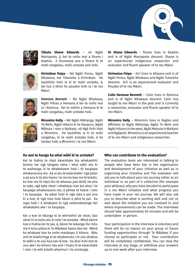



**Tākuta Shane Edwards** – nō Ngāti Maniapoto, ā, kei te noho mai a Shane i Kawhia. E ihumanea ana a Shane ki te mahi rangahau, mahi arotake anō hoki.



**Kirimātao Paipa** – Nō Ngāti Porou, Ngāti Whakaue, me Tūkorehe a Kirimātao. He tautōhito hoki ia ki te mahi arotake, ā, kei tua o tēnei he pouako hoki ia i te reo Māori.



*Hemana Bennett* – Nō Ngāti Whakaue, Ngāti Pikiao a Hemana ā kei te noho mai ia i Rotorua. Kei te mōhio a Hemana ki te mahi rangahau, mahi arotake hoki.



**Miromiro Kelly** – Nō Ngāti Māhanga, Ngāti Te Wehi, Ngāti Hikairo ki te Hauāuru, Ngāti Māhuta i roto o Waikato, nō Ngā Puhi hoki a Miromiro. He tautōhito ia ki te mahi rangahau, ki te mahi arotake hoki, ā he Kaiako hoki a Miromiro i te reo Māori.

**Dr Shane Edwards** – Shane lives in Kawhia and is of Ngāti Maniapoto descent. Shane is an experienced indigenous researcher and evaluator and fluent speaker of te reo Māori.

**Kirimatao Paipa** – Kiri lives in Ahipara and is of Ngāti Porou, Ngāti Whakaue and Ngāti Tukorehe descent. Kiri is an experienced evaluator and Pouako of te reo Māori.

**Colin Hemana Bennett** – Colin lives in Rotorua and is of Ngāti Whakaue descent. Colin has taught te reo Māori in the past and is currently a researcher, evaluator and fluent speaker of te reo Māori.

**Miromiro Kelly** – Miromiro lives in Raglan and affiliates to Ngāti Māhanga, Ngāti Te Wehi and Ngāti Hikairo in the west, Ngāti Mahuta in Waikato and Ngāpuhi. Miromiro is an experienced teacher of te reo Māori and indigenous researcher.

#### **Ko wai te hunga ka whai wāhi ki te arotake?**

Kei te hiahia te rōpū kaiarotake kia whakawhiti kōrero me ngā tāngata nāna i whai wāhi atu ki te waihanga, ki te whakahaere hoki i tō kaupapa whakarauora reo. Ka ui atu te kaiarotake i ngā pātai e pā ana ki tō ako haere i te reo ko koe me tō kotahi, ko koe me tō rōpū (ko tō whanau pea tērā), he aha te take, ngā take rānei i whakatau koe kia whai i te kaupapa whakarauora reo, ā pēhea tō haere i roto i te kaupapa. Ka pātai hoki ki ngā mea e pai ana ki a koe, ki ngā mea hoki kāore e pērā te pai. Ka rapa hoki i ō whakaaro ki ngā nekeneketanga hei whakakaha ake i te kaupapa.

Kei a koe te tikanga ki te whiriwhiri āe rānei, kāo rānei ki te kuhu atu ki roto i te arotake. Mēnā kāore koe e hiahia kei te pai, ā, kāore he takanga iho mōu me ō tono pūtea ki Te Mātāwai haere ake nei. Mēnā ka whakaae koe ka noho matatapu ō kōrero. Māu anō te kōwhiringa ki te whakamutu i te uiui ahakoa te wāhi o te uiui kua tae rā koe. Ka āhai hoki koe te unu ake i āu kōrero nāu anō i hoatu ki te kaiarotake i roto i te wiki kotahi whaimuri i te uiuitanga.

#### **Who can contribute to the evaluation?**

The evaluation team are interested in talking to people who have been key in the organisation and development of your initiative as well as in organising your initiative and The evaluator will ask you to talk about your reo journey either as an individual or as part of a collective (for example your whānau), why you have decided to participate in a reo Māori initiative and what progress you have made in your reo journey. We will also ask you to describe what is working well and not so well about the initiative you are involved in, and where improvements can be made. The interviews should take approximately 60 minutes and will be undertaken in person.

Your participation in the interview is voluntary and there will be no impact on your group or future funding opportunities through Te Mātāwai if you choose to participate or not. Your contribution will be completely confidential. You can stop the interview at any stage, or withdraw your answers up to one week after your interview.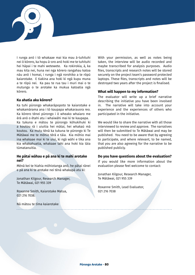

I runga anō i tō whakaae mai kia mau ā-tuhituhi nei ō kōrero, ka hopu ā-oro anō hoki me te tuhituhi hei hāpai i te mahi wetewete. Ka rokirokia, ā, ka mau kita nei, huna nei nga kōrero rangahau katoa nāu anō i homai, i runga i ngā rorohiko a te rōpū kaiarotake. E tiakina ana hoki ki ngā kupu muna a te rōpū nei. Ka pau te rua tau i muri mai o te mutunga o te arotake ka mukua katoatia ngā kōrero.

#### **Ka ahatia aku kōrero?**

Ka tuhi pūrongo whakarāpopoto te kaiarotake e whakamārama ana i tō kaupapa whakarauora reo. Ka kōrero tēnei pūrongo i ō wheako whaiaro me ērā anō o ētahi atu i whaiwāhi mai ki te kaupapa. Ka tukuna e mātou te pūrongo kōhukihuki ki a koutou rā i uiuitia hei mātai, hei whakaū mā koutou. Ka mutu tēnā ka tukuna te pūrongo ki Te Mātāwai me te mōhio tērā e tāia. Kia mōhio mai ina whakaae mai ki te uiui, ki ngā wāhi e tika ana kia whakahuatia, whakaae tahi ana hoki kia tāia tūmatanuitia.

#### **He pātai wāhau e pā ana ki te mahi arotake nei?**

Mēnā kei te hiahia mōhiotanga anō, he pātai rānei e pā ana ki te arotake nei tēnā whakapā atu ki:

Jonathan Kilgour, Research Manager, Te Mātāwai, 021 955 339

Roxanne Smith, Kaiarotake Matua, 021 216 7038.

Nā mātou te tīma kaiarotake

With your permission, as well as notes being taken, the interview will be audio recorded and maybe transcribed for analysis purposes. Audio files, transcripts and research notes will be stored securely on the project team's password protected laptops. These files, transcripts and notes will be destroyed two years after the project is finalised.

#### **What will happen to my information?**

The evaluator will write up a brief narrative describing the initiative you have been involved in. The narrative will take into account your experience and the experiences of others who participated in the initiative.

We would like to share the narrative with all those interviewed to review and approve. The narratives will then be submitted to Te Mātāwai and may be published. You need to be aware that by agreeing to participate, and where relevant, to be named, that you are also agreeing for the narrative to be published publicly.

#### **Do you have questions about the evaluation?**

If you would like more information about the evaluation please feel welcome to contact:

Jonathan Kilgour, Research Manager, Te Mātāwai, 021 955 339

Roxanne Smith, Lead Evaluator, 021 216 7038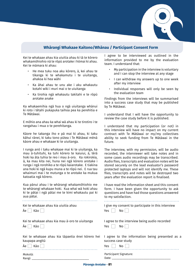

# **Whārangi Whakaae Kaitono/Whānau / Participant Consent Form**

Kei te whakaae ahau kia uiuitia ahau ki tā te kōrero whakamōhiohio nā te rōpū arotake i hōmai ki ahau. Kei te māmara ki ahau:

- He mea tuku noa aku kōrero, ā, kei ahau te tikanga ki te whakamutu i te uiuitanga, ahakoa ki hea wāhi
- Ka āhai ahau te unu ake i aku whakautu kotahi wiki i muri mai o te uiuitanga
- Ka tirohia ngā whakautu takitahi e te rōpū arotake anake

Ka whakaemihia ngā hua o ngā uiuitanga whānui ki roto i tētahi pukapuka taihoa pea ka perehitia e Te Mātāwai.

E mōhio ana ahau ka whai wā ahau ki te tirotiro i te rangahau i mua o te perehitanga.

Kāore he takanga iho e pā mai ki ahau, ki taku kāhui rānei, ki taku tono pūtea i Te Mātāwai mēnā kāore ahau e whakaae ki te uiuitanga.

I runga anō i taku whakaae mai ki te uiuitanga, ka mau ā-tuhituhi, ka tuhi kōrero te kaiuiui, ā, tērā hoki ka āta tuhia te reo i mau ā-oro. Ka rokirokia, ā, ka mau kita nei, huna nei ngā kōrero arotake i runga i ngā rorohiko a te rōpū kaiarotake. E tiakina ana hoki ki ngā kupu muna a te rōpū nei. E rua tau whaimuri mai i te mutunga o te arotake ka mukua katoatia ngā kōrero.

Kua pānui ahau i te whārangi whakamōhiohio me te whārangi whakaae hoki. Kua whai wā hoki ahau ki te pātai i ngā pātai me te kimi whakautu pai ki aua pātai.

Kei te whakaae ahau kia uiuitia ahau

Āe Kāo

Kei te whakaae ahau kia mau ā-oro te uiuitanga Āe | Kāo |

Kei te whakaae ahau kia tāpaetia ēnei kōrero hei kaupapa angitū

Āe Kāo 

Rangi: \_\_\_\_\_\_\_\_\_\_\_\_\_\_\_\_\_\_\_\_\_\_\_\_\_\_\_\_\_\_\_\_\_\_\_\_\_\_

Mokotā:

I agree to be interviewed as outlined in the information provided to me by the evaluation team. I understand that:

- My participation in the interview is voluntary and I can stop the interview at any stage
- I can withdraw my answers up to one week after my interview
- Individual responses will only be seen by the evaluation team

Findings from the interviews will be summarised into a success case study that may be published by Te Mātāwai.

I understand that I will have the opportunity to review the case study before it is published.

I understand that my participation (or not) in this interview will have no impact on my current contract with Te Mātāwai or my/my collectives ability to seek funding from Te Mātāwai in the future.

The interview, with my permission, will be audio recorded, the interviewer will take notes and in some cases audio recordings may be transcribed. Audio files, transcripts and evaluation notes will be stored securely on the lead evaluator's password protected laptops and will not identify me. These files, transcripts and notes will be destroyed two years after the evaluation report is finalised.

I have read the information sheet and this consent form. I have been given the opportunity to ask questions and have had those questions answered to my satisfaction.

|                      |  | I give my consent to participate in this interview |  |  |
|----------------------|--|----------------------------------------------------|--|--|
| Yes $\Box$ No $\Box$ |  |                                                    |  |  |

|                      |  | I agree to the interview being audio recorded |  |
|----------------------|--|-----------------------------------------------|--|
| Yes $\Box$ No $\Box$ |  |                                               |  |

|                    |  |  |  | I agree to the information being presented as a |  |  |  |  |  |
|--------------------|--|--|--|-------------------------------------------------|--|--|--|--|--|
| success case study |  |  |  |                                                 |  |  |  |  |  |

 $Yes \mid \text{No}$ 

Participant Signature:

Date: \_\_\_\_\_\_\_\_\_\_\_\_\_\_\_\_\_\_\_\_\_\_\_\_\_\_\_\_\_\_\_\_\_\_\_\_\_\_\_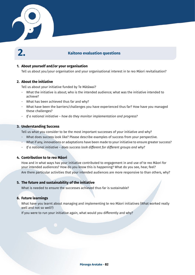

**2.**

# **Kaitono evaluation questions**

#### **1. About yourself and/or your organisation**

Tell us about you/your organisation and your organisational interest in te reo Māori revitalisation?

#### **2. About the initiative**

Tell us about your initiative funded by Te Mātāwai?

- What the initiative is about; who is the intended audience; what was the initiative intended to achieve?
- What has been achieved thus far and why?
- What have been the barriers/challenges you have experienced thus far? How have you managed these challenges?
- *- If a national initiative how do they monitor implementation and progress?*

#### **3. Understanding Success**

Tell us what you consider to be the most important successes of your initiative and why?

- What does success look like? Please describe examples of success from your perspective.
- What if any, innovations or adaptations have been made to your initiative to ensure greater success?
- *- If a national initiative does success look different for different groups and why?*

#### **4. Contribution to te reo Māori**

How and in what ways has your initiative contributed to engagement in and use of te reo Māori for your intended audiences? How do you know this is happening? What do you see, hear, feel? Are there particular activities that your intended audiences are more responsive to than others, why?

#### **5. The future and sustainability of the initiative**

What is needed to ensure the successes achieved thus far is sustainable?

#### **6. Future learnings**

What have you learnt about managing and implementing te reo Māori initiatives (What worked really well and not so well?)

If you were to run your initiative again, what would you differently and why?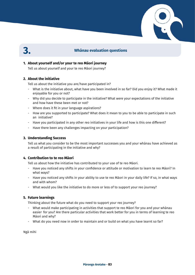

# **Whānau evaluation questions**

### **1. About yourself and/or your te reo Māori journey**

Tell us about yourself and your te reo Māori journey?

#### **2. About the initiative**

Tell us about the initiative you are/have participated in?

- What is the initiative about, what have you been involved in so far? Did you enjoy it? What made it enjoyable for you or not?
- Why did you decide to participate in the initiative? What were your expectations of the initiative and how have these been met or not?
- Where does it fit in your language aspirations?
- How are you supported to participate? What does it mean to you to be able to participate in such an initiative?
- Have you participated in any other reo initiatives in your life and how is this one different?
- Have there been any challenges impacting on your participation?

#### **3. Understanding Success**

Tell us what you consider to be the most important successes you and your whānau have achieved as a result of participating in the initiative and why?

#### **4. Contribution to te reo Māori**

Tell us about how the initiative has contributed to your use of te reo Māori.

- Have you noticed any shifts in your confidence or attitude or motivation to learn te reo Māori? In what ways?
- Have you noticed any shifts in your ability to use te reo Māori in your daily life? If so, in what ways and with whom?
- What would you like the initiative to do more or less of to support your reo journey?

#### **5. Future learnings**

Thinking about the future what do you need to support your reo journey?

- What would make participating in activities that support te reo Māori for you and your whānau easier for you? Are there particular activities that work better for you in terms of learning te reo Māori and why?
- What do you need now in order to maintain and or build on what you have learnt so far?

Ngā mihi